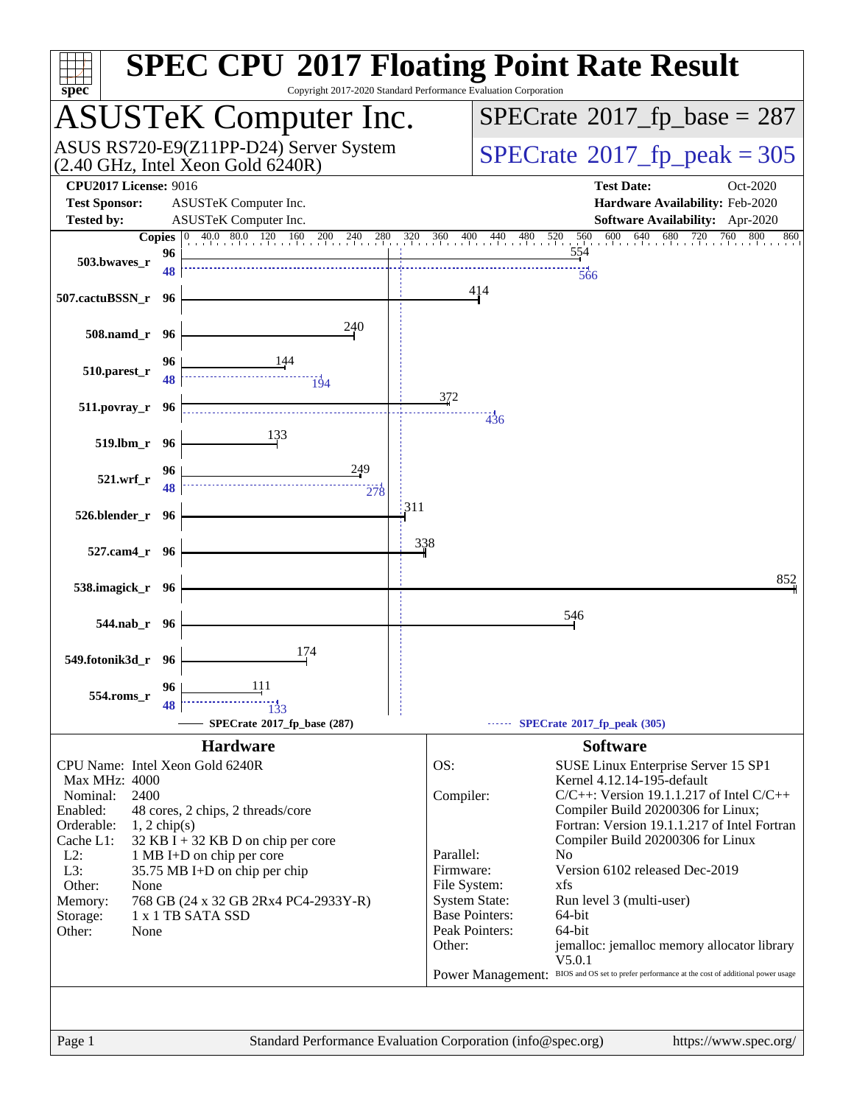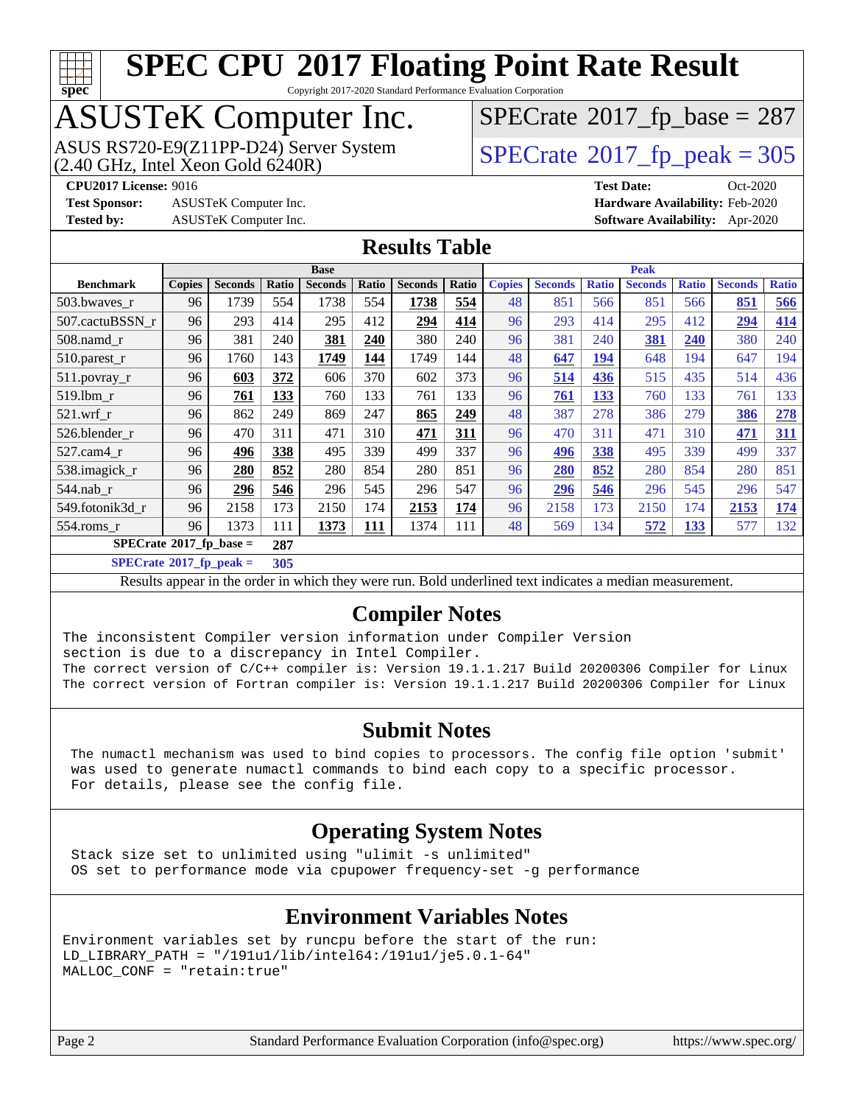

Copyright 2017-2020 Standard Performance Evaluation Corporation

# ASUSTeK Computer Inc.

ASUS RS720-E9(Z11PP-D24) Server System  $(2.40 \text{ GHz}, \text{ Intel Xeon Gold } 6240\text{R})$   $\big| \text{ SPECrate}^{\circledR} 2017 \text{ *fp\_peak} = 305*$  $\big| \text{ SPECrate}^{\circledR} 2017 \text{ *fp\_peak} = 305*$  $\big| \text{ SPECrate}^{\circledR} 2017 \text{ *fp\_peak} = 305*$ 

 $SPECTate$ <sup>®</sup>[2017\\_fp\\_base =](http://www.spec.org/auto/cpu2017/Docs/result-fields.html#SPECrate2017fpbase) 287

**[Test Sponsor:](http://www.spec.org/auto/cpu2017/Docs/result-fields.html#TestSponsor)** ASUSTeK Computer Inc. **[Hardware Availability:](http://www.spec.org/auto/cpu2017/Docs/result-fields.html#HardwareAvailability)** Feb-2020 **[Tested by:](http://www.spec.org/auto/cpu2017/Docs/result-fields.html#Testedby)** ASUSTeK Computer Inc. **[Software Availability:](http://www.spec.org/auto/cpu2017/Docs/result-fields.html#SoftwareAvailability)** Apr-2020

**[CPU2017 License:](http://www.spec.org/auto/cpu2017/Docs/result-fields.html#CPU2017License)** 9016 **[Test Date:](http://www.spec.org/auto/cpu2017/Docs/result-fields.html#TestDate)** Oct-2020

**[Results Table](http://www.spec.org/auto/cpu2017/Docs/result-fields.html#ResultsTable)**

|                            | <b>Base</b>   |                |       |                | <b>Peak</b> |                |       |               |                |              |                |              |                |              |
|----------------------------|---------------|----------------|-------|----------------|-------------|----------------|-------|---------------|----------------|--------------|----------------|--------------|----------------|--------------|
| <b>Benchmark</b>           | <b>Copies</b> | <b>Seconds</b> | Ratio | <b>Seconds</b> | Ratio       | <b>Seconds</b> | Ratio | <b>Copies</b> | <b>Seconds</b> | <b>Ratio</b> | <b>Seconds</b> | <b>Ratio</b> | <b>Seconds</b> | <b>Ratio</b> |
| 503.bwaves_r               | 96            | 1739           | 554   | 1738           | 554         | 1738           | 554   | 48            | 851            | 566          | 851            | 566          | 851            | 566          |
| 507.cactuBSSN r            | 96            | 293            | 414   | 295            | 412         | 294            | 414   | 96            | 293            | 414          | 295            | 412          | 294            | 414          |
| $508$ .namd $r$            | 96            | 381            | 240   | 381            | 240         | 380            | 240   | 96            | 381            | 240          | 381            | 240          | 380            | 240          |
| 510.parest_r               | 96            | 1760           | 143   | 1749           | 144         | 1749           | 144   | 48            | 647            | 194          | 648            | 194          | 647            | 194          |
| 511.povray_r               | 96            | 603            | 372   | 606            | 370         | 602            | 373   | 96            | 514            | 436          | 515            | 435          | 514            | 436          |
| 519.1bm r                  | 96            | 761            | 133   | 760            | 133         | 761            | 133   | 96            | 761            | 133          | 760            | 133          | 761            | 133          |
| $521$ .wrf r               | 96            | 862            | 249   | 869            | 247         | 865            | 249   | 48            | 387            | 278          | 386            | 279          | 386            | 278          |
| 526.blender r              | 96            | 470            | 311   | 471            | 310         | 471            | 311   | 96            | 470            | 311          | 471            | 310          | 471            | 311          |
| $527$ .cam $4r$            | 96            | 496            | 338   | 495            | 339         | 499            | 337   | 96            | 496            | 338          | 495            | 339          | 499            | 337          |
| 538.imagick_r              | 96            | 280            | 852   | 280            | 854         | 280            | 851   | 96            | 280            | 852          | 280            | 854          | 280            | 851          |
| $544$ .nab r               | 96            | 296            | 546   | 296            | 545         | 296            | 547   | 96            | 296            | 546          | 296            | 545          | 296            | 547          |
| 549.fotonik3d r            | 96            | 2158           | 173   | 2150           | 174         | 2153           | 174   | 96            | 2158           | 173          | 2150           | 174          | 2153           | 174          |
| $554$ .roms r              | 96            | 1373           | 111   | 1373           | <b>111</b>  | 1374           | 111   | 48            | 569            | 134          | 572            | <u>133</u>   | 577            | 132          |
| $SPECrate*2017_fp\_base =$ |               |                | 287   |                |             |                |       |               |                |              |                |              |                |              |

**[SPECrate](http://www.spec.org/auto/cpu2017/Docs/result-fields.html#SPECrate2017fppeak)[2017\\_fp\\_peak =](http://www.spec.org/auto/cpu2017/Docs/result-fields.html#SPECrate2017fppeak) 305**

Results appear in the [order in which they were run](http://www.spec.org/auto/cpu2017/Docs/result-fields.html#RunOrder). Bold underlined text [indicates a median measurement](http://www.spec.org/auto/cpu2017/Docs/result-fields.html#Median).

#### **[Compiler Notes](http://www.spec.org/auto/cpu2017/Docs/result-fields.html#CompilerNotes)**

The inconsistent Compiler version information under Compiler Version section is due to a discrepancy in Intel Compiler. The correct version of C/C++ compiler is: Version 19.1.1.217 Build 20200306 Compiler for Linux The correct version of Fortran compiler is: Version 19.1.1.217 Build 20200306 Compiler for Linux

#### **[Submit Notes](http://www.spec.org/auto/cpu2017/Docs/result-fields.html#SubmitNotes)**

 The numactl mechanism was used to bind copies to processors. The config file option 'submit' was used to generate numactl commands to bind each copy to a specific processor. For details, please see the config file.

#### **[Operating System Notes](http://www.spec.org/auto/cpu2017/Docs/result-fields.html#OperatingSystemNotes)**

 Stack size set to unlimited using "ulimit -s unlimited" OS set to performance mode via cpupower frequency-set -g performance

#### **[Environment Variables Notes](http://www.spec.org/auto/cpu2017/Docs/result-fields.html#EnvironmentVariablesNotes)**

```
Environment variables set by runcpu before the start of the run:
LD_LIBRARY_PATH = "/191u1/lib/intel64:/191u1/je5.0.1-64"
MALLOC_CONF = "retain:true"
```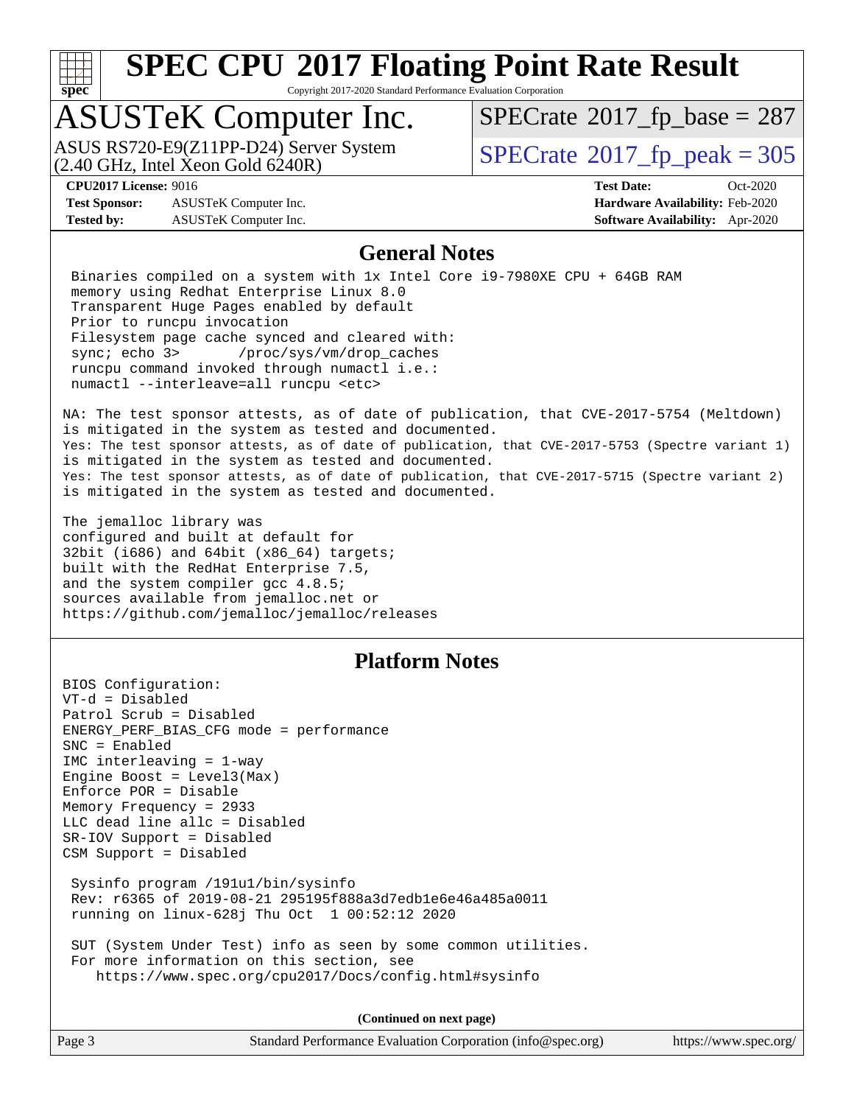

Copyright 2017-2020 Standard Performance Evaluation Corporation

# ASUSTeK Computer Inc.

 $(2.40 \text{ GHz}, \text{ Intel } \hat{\text{X}}$ con Gold 6240R) ASUS RS720-E9(Z11PP-D24) Server System  $\sqrt{SPECrate}$  $\sqrt{SPECrate}$  $\sqrt{SPECrate}$   $2017$  fp\_peak = 305

 $SPECTate@2017_fp\_base = 287$ 

**[Test Sponsor:](http://www.spec.org/auto/cpu2017/Docs/result-fields.html#TestSponsor)** ASUSTeK Computer Inc. **[Hardware Availability:](http://www.spec.org/auto/cpu2017/Docs/result-fields.html#HardwareAvailability)** Feb-2020 **[Tested by:](http://www.spec.org/auto/cpu2017/Docs/result-fields.html#Testedby)** ASUSTeK Computer Inc. **[Software Availability:](http://www.spec.org/auto/cpu2017/Docs/result-fields.html#SoftwareAvailability)** Apr-2020

**[CPU2017 License:](http://www.spec.org/auto/cpu2017/Docs/result-fields.html#CPU2017License)** 9016 **[Test Date:](http://www.spec.org/auto/cpu2017/Docs/result-fields.html#TestDate)** Oct-2020

#### **[General Notes](http://www.spec.org/auto/cpu2017/Docs/result-fields.html#GeneralNotes)**

 Binaries compiled on a system with 1x Intel Core i9-7980XE CPU + 64GB RAM memory using Redhat Enterprise Linux 8.0 Transparent Huge Pages enabled by default Prior to runcpu invocation Filesystem page cache synced and cleared with: sync; echo 3> /proc/sys/vm/drop\_caches runcpu command invoked through numactl i.e.: numactl --interleave=all runcpu <etc>

NA: The test sponsor attests, as of date of publication, that CVE-2017-5754 (Meltdown) is mitigated in the system as tested and documented. Yes: The test sponsor attests, as of date of publication, that CVE-2017-5753 (Spectre variant 1) is mitigated in the system as tested and documented. Yes: The test sponsor attests, as of date of publication, that CVE-2017-5715 (Spectre variant 2) is mitigated in the system as tested and documented.

The jemalloc library was configured and built at default for 32bit (i686) and 64bit (x86\_64) targets; built with the RedHat Enterprise 7.5, and the system compiler gcc 4.8.5; sources available from jemalloc.net or <https://github.com/jemalloc/jemalloc/releases>

#### **[Platform Notes](http://www.spec.org/auto/cpu2017/Docs/result-fields.html#PlatformNotes)**

BIOS Configuration: VT-d = Disabled Patrol Scrub = Disabled ENERGY\_PERF\_BIAS\_CFG mode = performance SNC = Enabled IMC interleaving = 1-way Engine Boost = Level3(Max) Enforce POR = Disable Memory Frequency = 2933 LLC dead line allc = Disabled SR-IOV Support = Disabled CSM Support = Disabled Sysinfo program /191u1/bin/sysinfo Rev: r6365 of 2019-08-21 295195f888a3d7edb1e6e46a485a0011 running on linux-628j Thu Oct 1 00:52:12 2020

 SUT (System Under Test) info as seen by some common utilities. For more information on this section, see <https://www.spec.org/cpu2017/Docs/config.html#sysinfo>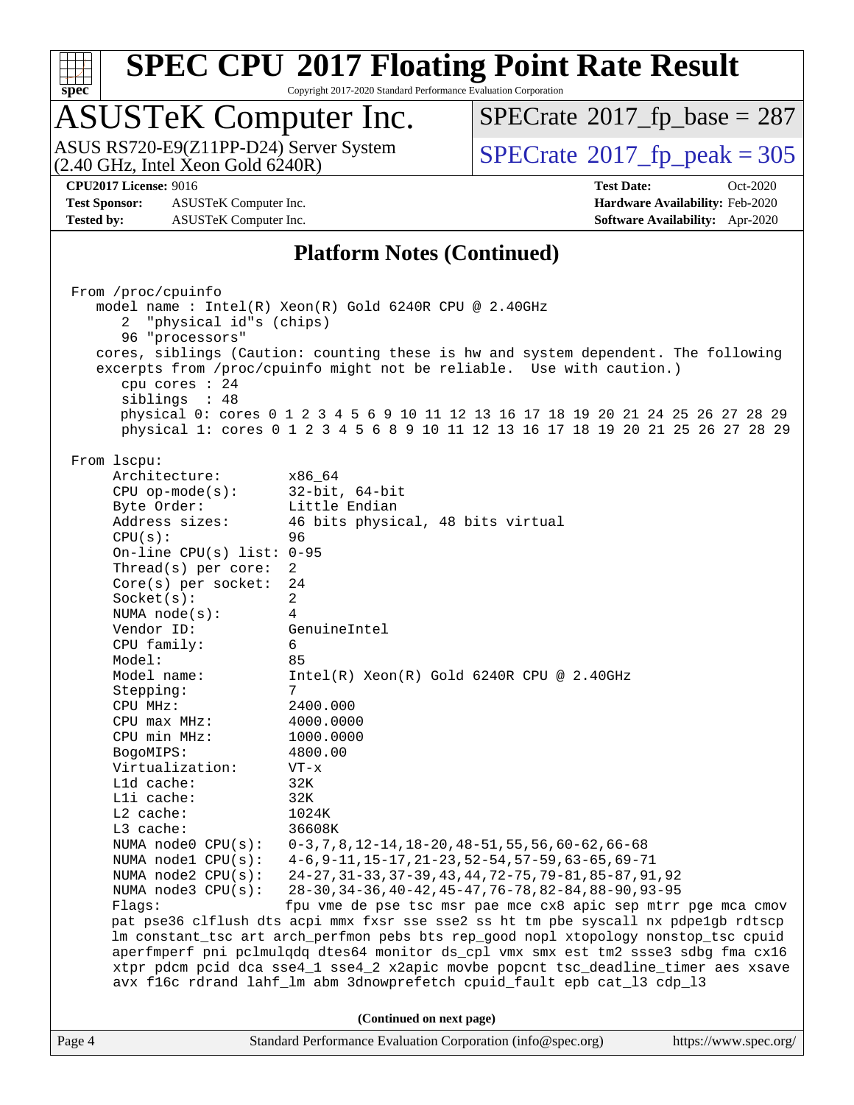

Copyright 2017-2020 Standard Performance Evaluation Corporation

# ASUSTeK Computer Inc.

 $(2.40 \text{ GHz}, \text{Intel Xeon Gold } 6240 \text{R})$ ASUS RS720-E9(Z11PP-D24) Server System  $\sqrt{SPECrate^{\circ}2017\_fp\_peak} = 305$  $\sqrt{SPECrate^{\circ}2017\_fp\_peak} = 305$  $\sqrt{SPECrate^{\circ}2017\_fp\_peak} = 305$ 

 $SPECTate$ <sup>®</sup>[2017\\_fp\\_base =](http://www.spec.org/auto/cpu2017/Docs/result-fields.html#SPECrate2017fpbase) 287

**[Test Sponsor:](http://www.spec.org/auto/cpu2017/Docs/result-fields.html#TestSponsor)** ASUSTeK Computer Inc. **[Hardware Availability:](http://www.spec.org/auto/cpu2017/Docs/result-fields.html#HardwareAvailability)** Feb-2020 **[Tested by:](http://www.spec.org/auto/cpu2017/Docs/result-fields.html#Testedby)** ASUSTeK Computer Inc. **[Software Availability:](http://www.spec.org/auto/cpu2017/Docs/result-fields.html#SoftwareAvailability)** Apr-2020

**[CPU2017 License:](http://www.spec.org/auto/cpu2017/Docs/result-fields.html#CPU2017License)** 9016 **[Test Date:](http://www.spec.org/auto/cpu2017/Docs/result-fields.html#TestDate)** Oct-2020

#### **[Platform Notes \(Continued\)](http://www.spec.org/auto/cpu2017/Docs/result-fields.html#PlatformNotes)**

Page 4 Standard Performance Evaluation Corporation [\(info@spec.org\)](mailto:info@spec.org) <https://www.spec.org/> From /proc/cpuinfo model name : Intel(R) Xeon(R) Gold 6240R CPU @ 2.40GHz 2 "physical id"s (chips) 96 "processors" cores, siblings (Caution: counting these is hw and system dependent. The following excerpts from /proc/cpuinfo might not be reliable. Use with caution.) cpu cores : 24 siblings : 48 physical 0: cores 0 1 2 3 4 5 6 9 10 11 12 13 16 17 18 19 20 21 24 25 26 27 28 29 physical 1: cores 0 1 2 3 4 5 6 8 9 10 11 12 13 16 17 18 19 20 21 25 26 27 28 29 From lscpu: Architecture: x86\_64 CPU op-mode(s): 32-bit, 64-bit Byte Order: Little Endian Address sizes: 46 bits physical, 48 bits virtual CPU(s): 96 On-line CPU(s) list: 0-95 Thread(s) per core: 2 Core(s) per socket: 24 Socket(s): 2 NUMA node(s): 4 Vendor ID: GenuineIntel CPU family: 6 Model: 85 Model name: Intel(R) Xeon(R) Gold 6240R CPU @ 2.40GHz Stepping: CPU MHz: 2400.000 CPU max MHz: 4000.0000 CPU min MHz: 1000.0000 BogoMIPS: 4800.00 Virtualization: VT-x L1d cache: 32K L1i cache: 32K L2 cache: 1024K L3 cache: 36608K NUMA node0 CPU(s): 0-3,7,8,12-14,18-20,48-51,55,56,60-62,66-68 NUMA node1 CPU(s): 4-6,9-11,15-17,21-23,52-54,57-59,63-65,69-71 NUMA node2 CPU(s): 24-27,31-33,37-39,43,44,72-75,79-81,85-87,91,92 NUMA node3 CPU(s): 28-30,34-36,40-42,45-47,76-78,82-84,88-90,93-95 Flags: fpu vme de pse tsc msr pae mce cx8 apic sep mtrr pge mca cmov pat pse36 clflush dts acpi mmx fxsr sse sse2 ss ht tm pbe syscall nx pdpe1gb rdtscp lm constant\_tsc art arch\_perfmon pebs bts rep\_good nopl xtopology nonstop\_tsc cpuid aperfmperf pni pclmulqdq dtes64 monitor ds\_cpl vmx smx est tm2 ssse3 sdbg fma cx16 xtpr pdcm pcid dca sse4\_1 sse4\_2 x2apic movbe popcnt tsc\_deadline\_timer aes xsave avx f16c rdrand lahf\_lm abm 3dnowprefetch cpuid\_fault epb cat\_l3 cdp\_l3 **(Continued on next page)**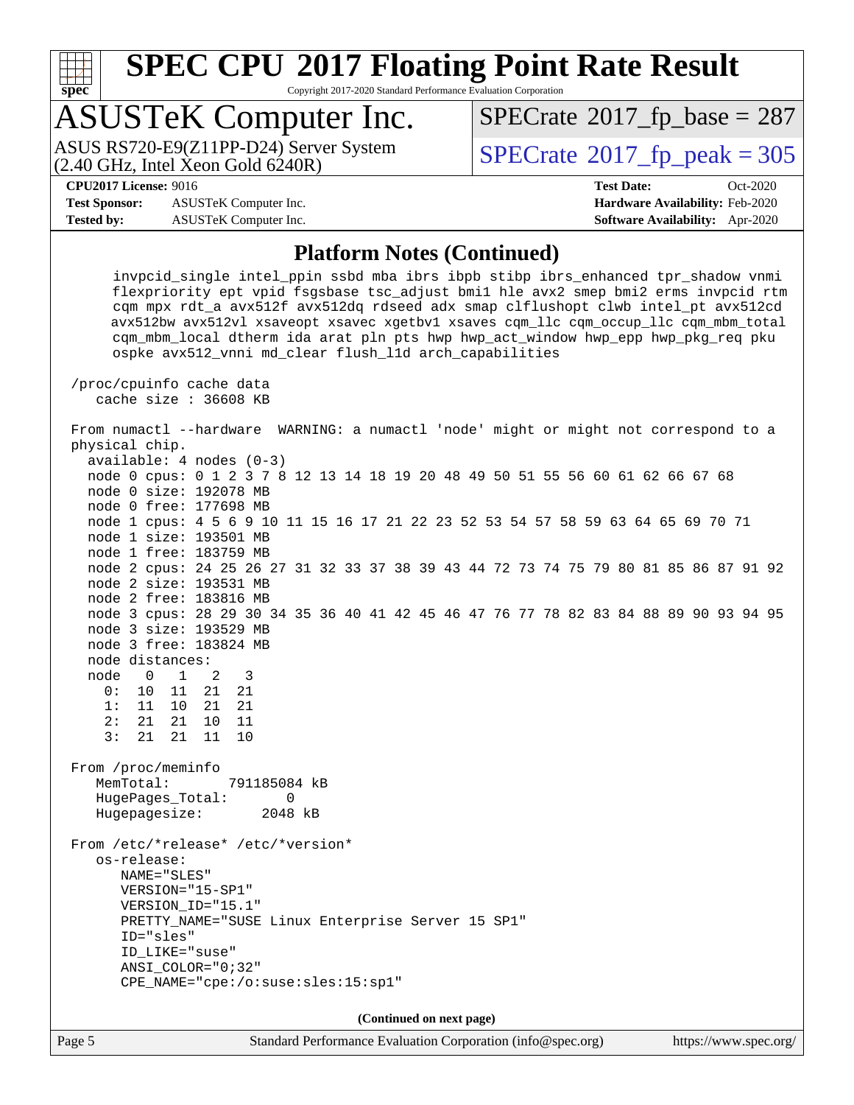

Copyright 2017-2020 Standard Performance Evaluation Corporation

# ASUSTeK Computer Inc.

ASUS RS720-E9(Z11PP-D24) Server System<br>(2.40 GHz, Intel Xeon Gold 6240R)

 $SPECTate<sup>®</sup>2017_fp_peak = 305$  $SPECTate<sup>®</sup>2017_fp_peak = 305$  $SPECTate<sup>®</sup>2017_fp_peak = 305$  $SPECTate@2017_fp\_base = 287$ 

**[Test Sponsor:](http://www.spec.org/auto/cpu2017/Docs/result-fields.html#TestSponsor)** ASUSTeK Computer Inc. **[Hardware Availability:](http://www.spec.org/auto/cpu2017/Docs/result-fields.html#HardwareAvailability)** Feb-2020 **[Tested by:](http://www.spec.org/auto/cpu2017/Docs/result-fields.html#Testedby)** ASUSTeK Computer Inc. **[Software Availability:](http://www.spec.org/auto/cpu2017/Docs/result-fields.html#SoftwareAvailability)** Apr-2020

**[CPU2017 License:](http://www.spec.org/auto/cpu2017/Docs/result-fields.html#CPU2017License)** 9016 **[Test Date:](http://www.spec.org/auto/cpu2017/Docs/result-fields.html#TestDate)** Oct-2020

#### **[Platform Notes \(Continued\)](http://www.spec.org/auto/cpu2017/Docs/result-fields.html#PlatformNotes)**

 invpcid\_single intel\_ppin ssbd mba ibrs ibpb stibp ibrs\_enhanced tpr\_shadow vnmi flexpriority ept vpid fsgsbase tsc\_adjust bmi1 hle avx2 smep bmi2 erms invpcid rtm cqm mpx rdt\_a avx512f avx512dq rdseed adx smap clflushopt clwb intel\_pt avx512cd avx512bw avx512vl xsaveopt xsavec xgetbv1 xsaves cqm\_llc cqm\_occup\_llc cqm\_mbm\_total cqm\_mbm\_local dtherm ida arat pln pts hwp hwp\_act\_window hwp\_epp hwp\_pkg\_req pku ospke avx512\_vnni md\_clear flush\_l1d arch\_capabilities

 /proc/cpuinfo cache data cache size : 36608 KB

 From numactl --hardware WARNING: a numactl 'node' might or might not correspond to a physical chip. available: 4 nodes (0-3)

 node 0 cpus: 0 1 2 3 7 8 12 13 14 18 19 20 48 49 50 51 55 56 60 61 62 66 67 68 node 0 size: 192078 MB node 0 free: 177698 MB node 1 cpus: 4 5 6 9 10 11 15 16 17 21 22 23 52 53 54 57 58 59 63 64 65 69 70 71 node 1 size: 193501 MB node 1 free: 183759 MB node 2 cpus: 24 25 26 27 31 32 33 37 38 39 43 44 72 73 74 75 79 80 81 85 86 87 91 92 node 2 size: 193531 MB node 2 free: 183816 MB node 3 cpus: 28 29 30 34 35 36 40 41 42 45 46 47 76 77 78 82 83 84 88 89 90 93 94 95 node 3 size: 193529 MB node 3 free: 183824 MB node distances: node 0 1 2 3 0: 10 11 21 21 1: 11 10 21 21 2: 21 21 10 11 3: 21 21 11 10 From /proc/meminfo MemTotal: 791185084 kB HugePages\_Total: 0 Hugepagesize: 2048 kB From /etc/\*release\* /etc/\*version\* os-release: NAME="SLES" VERSION="15-SP1" VERSION\_ID="15.1" PRETTY\_NAME="SUSE Linux Enterprise Server 15 SP1" ID="sles" ID\_LIKE="suse" ANSI\_COLOR="0;32" CPE\_NAME="cpe:/o:suse:sles:15:sp1"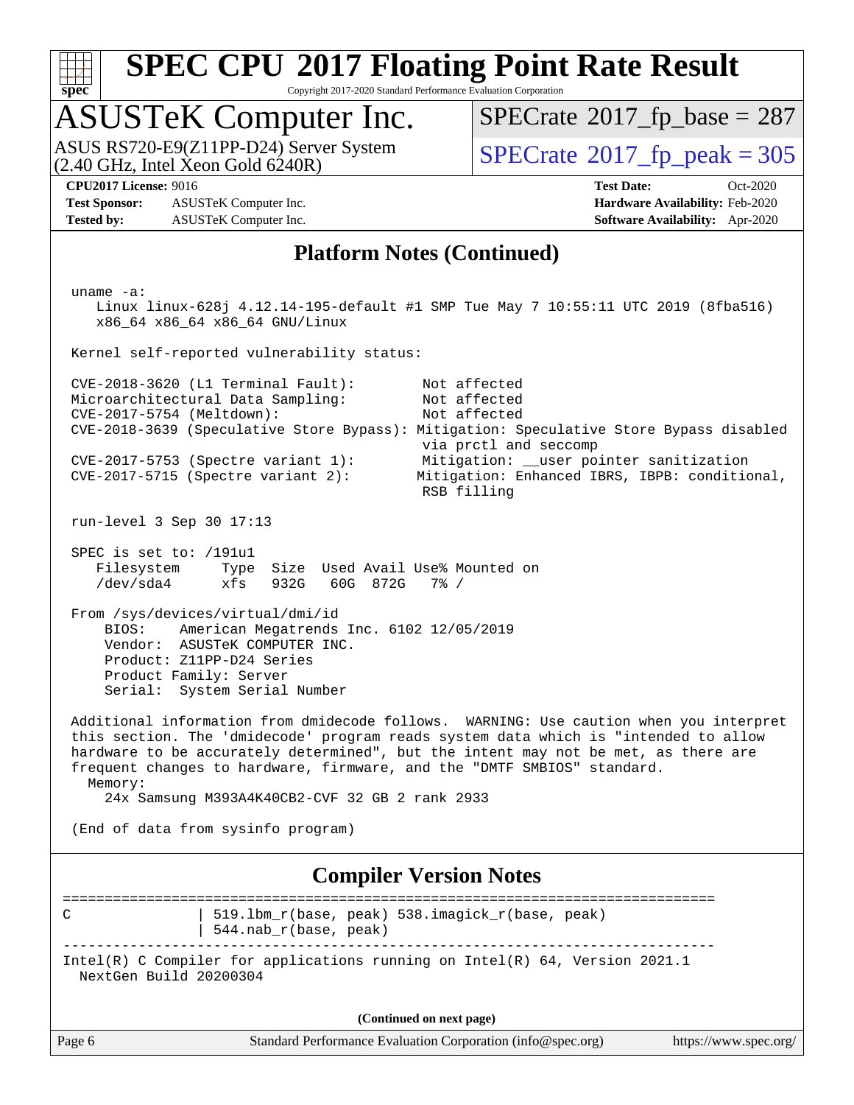

Copyright 2017-2020 Standard Performance Evaluation Corporation

# ASUSTeK Computer Inc.

 $(2.40 \text{ GHz}, \text{Intel } \hat{\text{X}}$ con Gold 6240R) ASUS RS720-E9(Z11PP-D24) Server System  $\sqrt{SPECrate}$  $\sqrt{SPECrate}$  $\sqrt{SPECrate}$   $2017$  fp\_peak = 305

 $SPECTate@2017_fp\_base = 287$ 

**[Test Sponsor:](http://www.spec.org/auto/cpu2017/Docs/result-fields.html#TestSponsor)** ASUSTeK Computer Inc. **[Hardware Availability:](http://www.spec.org/auto/cpu2017/Docs/result-fields.html#HardwareAvailability)** Feb-2020 **[Tested by:](http://www.spec.org/auto/cpu2017/Docs/result-fields.html#Testedby)** ASUSTeK Computer Inc. **[Software Availability:](http://www.spec.org/auto/cpu2017/Docs/result-fields.html#SoftwareAvailability)** Apr-2020

**[CPU2017 License:](http://www.spec.org/auto/cpu2017/Docs/result-fields.html#CPU2017License)** 9016 **[Test Date:](http://www.spec.org/auto/cpu2017/Docs/result-fields.html#TestDate)** Oct-2020

#### **[Platform Notes \(Continued\)](http://www.spec.org/auto/cpu2017/Docs/result-fields.html#PlatformNotes)**

Page 6 Standard Performance Evaluation Corporation [\(info@spec.org\)](mailto:info@spec.org) <https://www.spec.org/> uname -a: Linux linux-628j 4.12.14-195-default #1 SMP Tue May 7 10:55:11 UTC 2019 (8fba516) x86\_64 x86\_64 x86\_64 GNU/Linux Kernel self-reported vulnerability status: CVE-2018-3620 (L1 Terminal Fault): Not affected Microarchitectural Data Sampling: Not affected CVE-2017-5754 (Meltdown): Not affected CVE-2018-3639 (Speculative Store Bypass): Mitigation: Speculative Store Bypass disabled via prctl and seccomp CVE-2017-5753 (Spectre variant 1): Mitigation: \_\_user pointer sanitization CVE-2017-5715 (Spectre variant 1).<br>CVE-2017-5715 (Spectre variant 2): Mitigation: Enhanced IBRS, IBPB: conditional, RSB filling run-level 3 Sep 30 17:13 SPEC is set to: /191u1 Filesystem Type Size Used Avail Use% Mounted on /dev/sda4 xfs 932G 60G 872G 7% / From /sys/devices/virtual/dmi/id BIOS: American Megatrends Inc. 6102 12/05/2019 Vendor: ASUSTeK COMPUTER INC. Product: Z11PP-D24 Series Product Family: Server Serial: System Serial Number Additional information from dmidecode follows. WARNING: Use caution when you interpret this section. The 'dmidecode' program reads system data which is "intended to allow hardware to be accurately determined", but the intent may not be met, as there are frequent changes to hardware, firmware, and the "DMTF SMBIOS" standard. Memory: 24x Samsung M393A4K40CB2-CVF 32 GB 2 rank 2933 (End of data from sysinfo program) **[Compiler Version Notes](http://www.spec.org/auto/cpu2017/Docs/result-fields.html#CompilerVersionNotes)** ============================================================================== C | 519.1bm\_r(base, peak) 538.imagick\_r(base, peak) | 544.nab\_r(base, peak) ------------------------------------------------------------------------------ Intel(R) C Compiler for applications running on Intel(R) 64, Version 2021.1 NextGen Build 20200304 **(Continued on next page)**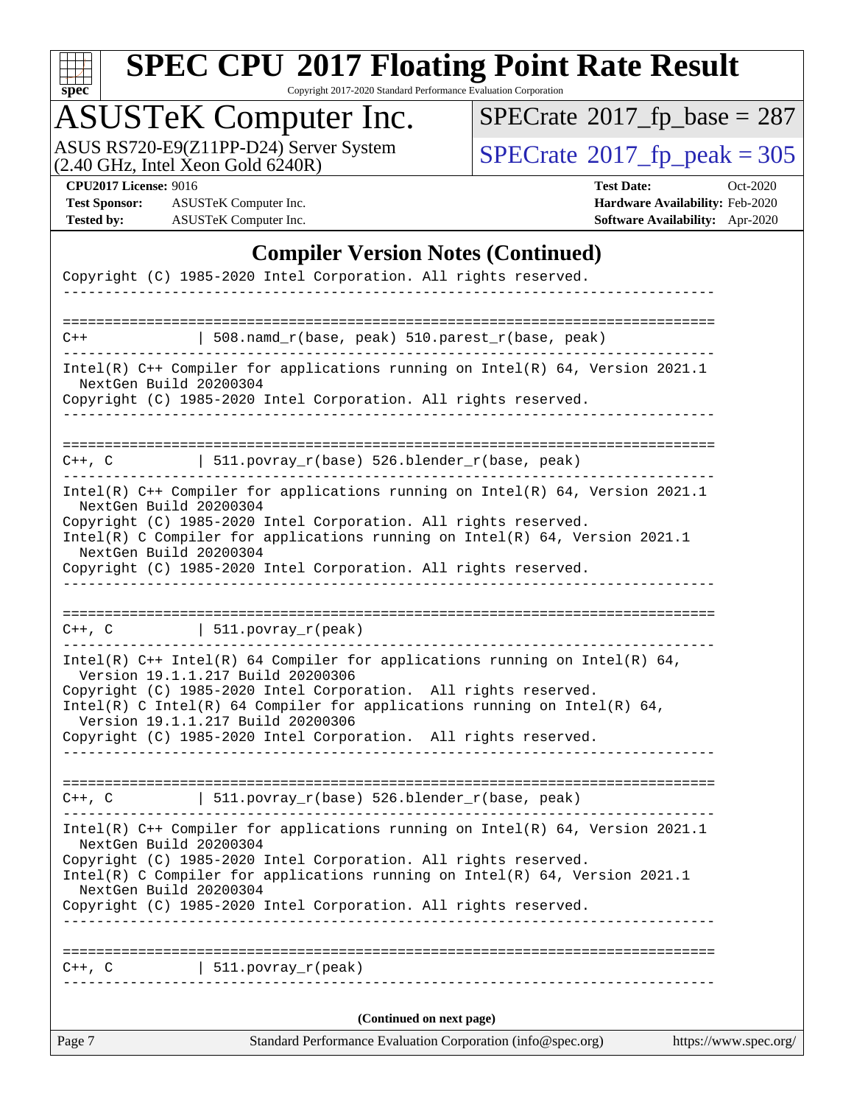

Copyright 2017-2020 Standard Performance Evaluation Corporation

# ASUSTeK Computer Inc.

ASUS RS720-E9(Z11PP-D24) Server System  $(2.40 \text{ GHz}, \text{ Intel Xeon Gold } 6240\text{R})$   $\big| \text{ SPECrate}^{\circledR} 2017 \text{ *fp\_peak} = 305*$  $\big| \text{ SPECrate}^{\circledR} 2017 \text{ *fp\_peak} = 305*$  $\big| \text{ SPECrate}^{\circledR} 2017 \text{ *fp\_peak} = 305*$ 

 $SPECTate$ <sup>®</sup>[2017\\_fp\\_base =](http://www.spec.org/auto/cpu2017/Docs/result-fields.html#SPECrate2017fpbase) 287

**[Test Sponsor:](http://www.spec.org/auto/cpu2017/Docs/result-fields.html#TestSponsor)** ASUSTeK Computer Inc. **[Hardware Availability:](http://www.spec.org/auto/cpu2017/Docs/result-fields.html#HardwareAvailability)** Feb-2020 **[Tested by:](http://www.spec.org/auto/cpu2017/Docs/result-fields.html#Testedby)** ASUSTeK Computer Inc. **[Software Availability:](http://www.spec.org/auto/cpu2017/Docs/result-fields.html#SoftwareAvailability)** Apr-2020

**[CPU2017 License:](http://www.spec.org/auto/cpu2017/Docs/result-fields.html#CPU2017License)** 9016 **[Test Date:](http://www.spec.org/auto/cpu2017/Docs/result-fields.html#TestDate)** Oct-2020

#### **[Compiler Version Notes \(Continued\)](http://www.spec.org/auto/cpu2017/Docs/result-fields.html#CompilerVersionNotes)**

| Page 7                 | Standard Performance Evaluation Corporation (info@spec.org)                                                                                 | https://www.spec.org/ |
|------------------------|---------------------------------------------------------------------------------------------------------------------------------------------|-----------------------|
|                        | (Continued on next page)                                                                                                                    |                       |
| $C++$ , $C$            | 511.povray_r(peak)                                                                                                                          |                       |
|                        |                                                                                                                                             |                       |
|                        | Copyright (C) 1985-2020 Intel Corporation. All rights reserved.                                                                             |                       |
| NextGen Build 20200304 | Intel(R) C Compiler for applications running on $Intel(R) 64$ , Version 2021.1                                                              |                       |
|                        | Copyright (C) 1985-2020 Intel Corporation. All rights reserved.                                                                             |                       |
| NextGen Build 20200304 | Intel(R) $C++$ Compiler for applications running on Intel(R) 64, Version 2021.1                                                             |                       |
|                        | $C++$ , C $\qquad$ 511.povray_r(base) 526.blender_r(base, peak)                                                                             |                       |
|                        |                                                                                                                                             |                       |
|                        | Version 19.1.1.217 Build 20200306<br>Copyright (C) 1985-2020 Intel Corporation. All rights reserved.                                        |                       |
|                        | Copyright (C) 1985-2020 Intel Corporation. All rights reserved.<br>Intel(R) C Intel(R) 64 Compiler for applications running on Intel(R) 64, |                       |
|                        | Version 19.1.1.217 Build 20200306                                                                                                           |                       |
|                        | Intel(R) C++ Intel(R) 64 Compiler for applications running on Intel(R) 64,                                                                  |                       |
|                        | $C++$ , C $\qquad \qquad \vert$ 511.povray_r(peak)                                                                                          |                       |
|                        | Copyright (C) 1985-2020 Intel Corporation. All rights reserved.                                                                             |                       |
| NextGen Build 20200304 | Intel(R) C Compiler for applications running on Intel(R) $64$ , Version 2021.1                                                              |                       |
|                        | Copyright (C) 1985-2020 Intel Corporation. All rights reserved.                                                                             |                       |
| NextGen Build 20200304 | Intel(R) $C++$ Compiler for applications running on Intel(R) 64, Version 2021.1                                                             |                       |
|                        | C++, C $  511.povray_r(base) 526.blender_r(base, peak)$                                                                                     |                       |
| NextGen Build 20200304 | Copyright (C) 1985-2020 Intel Corporation. All rights reserved.                                                                             |                       |
|                        | -------------------------------------<br>Intel(R) $C++$ Compiler for applications running on Intel(R) 64, Version 2021.1                    |                       |
| $C++$                  | $508.namd_r(base, peak) 510.parest_r(base, peak)$                                                                                           |                       |
|                        |                                                                                                                                             |                       |
|                        | Copyright (C) 1985-2020 Intel Corporation. All rights reserved.                                                                             |                       |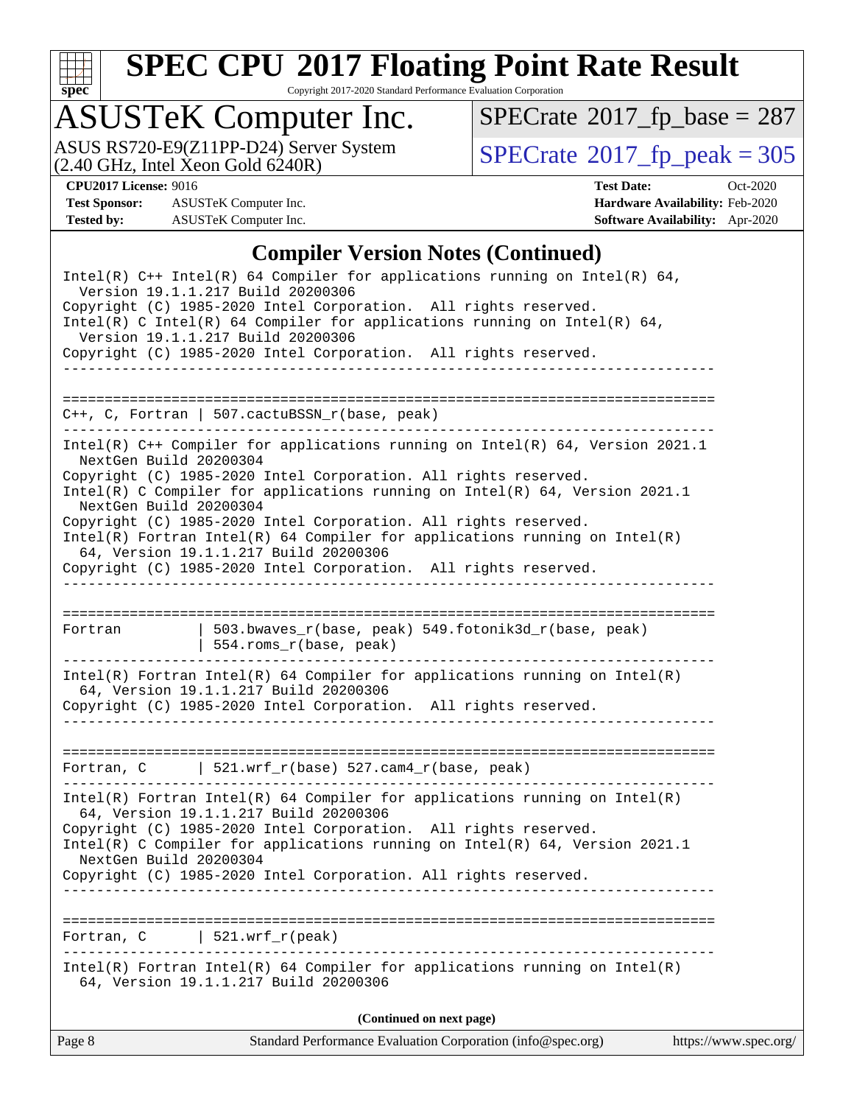

Copyright 2017-2020 Standard Performance Evaluation Corporation

# ASUSTeK Computer Inc.

ASUS RS720-E9(Z11PP-D24) Server System  $(2.40 \text{ GHz}, \text{ Intel Xeon Gold } 6240\text{R})$   $\big| \text{ SPECrate}^{\circledR} 2017 \text{ *fp\_peak} = 305*$  $\big| \text{ SPECrate}^{\circledR} 2017 \text{ *fp\_peak} = 305*$  $\big| \text{ SPECrate}^{\circledR} 2017 \text{ *fp\_peak} = 305*$ 

 $SPECTate$ <sup>®</sup>[2017\\_fp\\_base =](http://www.spec.org/auto/cpu2017/Docs/result-fields.html#SPECrate2017fpbase) 287

**[Test Sponsor:](http://www.spec.org/auto/cpu2017/Docs/result-fields.html#TestSponsor)** ASUSTeK Computer Inc. **[Hardware Availability:](http://www.spec.org/auto/cpu2017/Docs/result-fields.html#HardwareAvailability)** Feb-2020 **[Tested by:](http://www.spec.org/auto/cpu2017/Docs/result-fields.html#Testedby)** ASUSTeK Computer Inc. **[Software Availability:](http://www.spec.org/auto/cpu2017/Docs/result-fields.html#SoftwareAvailability)** Apr-2020

**[CPU2017 License:](http://www.spec.org/auto/cpu2017/Docs/result-fields.html#CPU2017License)** 9016 **[Test Date:](http://www.spec.org/auto/cpu2017/Docs/result-fields.html#TestDate)** Oct-2020

#### **[Compiler Version Notes \(Continued\)](http://www.spec.org/auto/cpu2017/Docs/result-fields.html#CompilerVersionNotes)**

| Page 8           | Standard Performance Evaluation Corporation (info@spec.org)                                                                                                                                                                                                                                                                                                                                                                                | https://www.spec.org/ |
|------------------|--------------------------------------------------------------------------------------------------------------------------------------------------------------------------------------------------------------------------------------------------------------------------------------------------------------------------------------------------------------------------------------------------------------------------------------------|-----------------------|
|                  | (Continued on next page)                                                                                                                                                                                                                                                                                                                                                                                                                   |                       |
|                  | $Intel(R)$ Fortran Intel(R) 64 Compiler for applications running on Intel(R)<br>64, Version 19.1.1.217 Build 20200306                                                                                                                                                                                                                                                                                                                      |                       |
| Fortran, C       | $521.wrf_r(peak)$                                                                                                                                                                                                                                                                                                                                                                                                                          |                       |
|                  | $Intel(R)$ Fortran Intel(R) 64 Compiler for applications running on Intel(R)<br>64, Version 19.1.1.217 Build 20200306<br>Copyright (C) 1985-2020 Intel Corporation. All rights reserved.<br>Intel(R) C Compiler for applications running on $Intel(R) 64$ , Version 2021.1<br>NextGen Build 20200304<br>Copyright (C) 1985-2020 Intel Corporation. All rights reserved.                                                                    |                       |
| ---------------- | Fortran, C $\vert$ 521.wrf_r(base) 527.cam4_r(base, peak)                                                                                                                                                                                                                                                                                                                                                                                  |                       |
|                  | $Intel(R)$ Fortran Intel(R) 64 Compiler for applications running on Intel(R)<br>64, Version 19.1.1.217 Build 20200306<br>Copyright (C) 1985-2020 Intel Corporation. All rights reserved.                                                                                                                                                                                                                                                   |                       |
| Fortran          | 503.bwaves_r(base, peak) 549.fotonik3d_r(base, peak)<br>  554.roms_r(base, peak)<br>________________________________                                                                                                                                                                                                                                                                                                                       |                       |
|                  | Copyright (C) 1985-2020 Intel Corporation. All rights reserved.<br>Intel(R) C Compiler for applications running on Intel(R) $64$ , Version 2021.1<br>NextGen Build 20200304<br>Copyright (C) 1985-2020 Intel Corporation. All rights reserved.<br>$Intel(R)$ Fortran Intel(R) 64 Compiler for applications running on Intel(R)<br>64, Version 19.1.1.217 Build 20200306<br>Copyright (C) 1985-2020 Intel Corporation. All rights reserved. |                       |
|                  | Intel(R) $C++$ Compiler for applications running on Intel(R) 64, Version 2021.1<br>NextGen Build 20200304                                                                                                                                                                                                                                                                                                                                  |                       |
|                  | C++, C, Fortran   507.cactuBSSN_r(base, peak)                                                                                                                                                                                                                                                                                                                                                                                              |                       |
|                  | Version 19.1.1.217 Build 20200306<br>Copyright (C) 1985-2020 Intel Corporation. All rights reserved.                                                                                                                                                                                                                                                                                                                                       |                       |
|                  | Intel(R) $C++$ Intel(R) 64 Compiler for applications running on Intel(R) 64,<br>Version 19.1.1.217 Build 20200306<br>Copyright (C) 1985-2020 Intel Corporation. All rights reserved.<br>Intel(R) C Intel(R) 64 Compiler for applications running on Intel(R) 64,                                                                                                                                                                           |                       |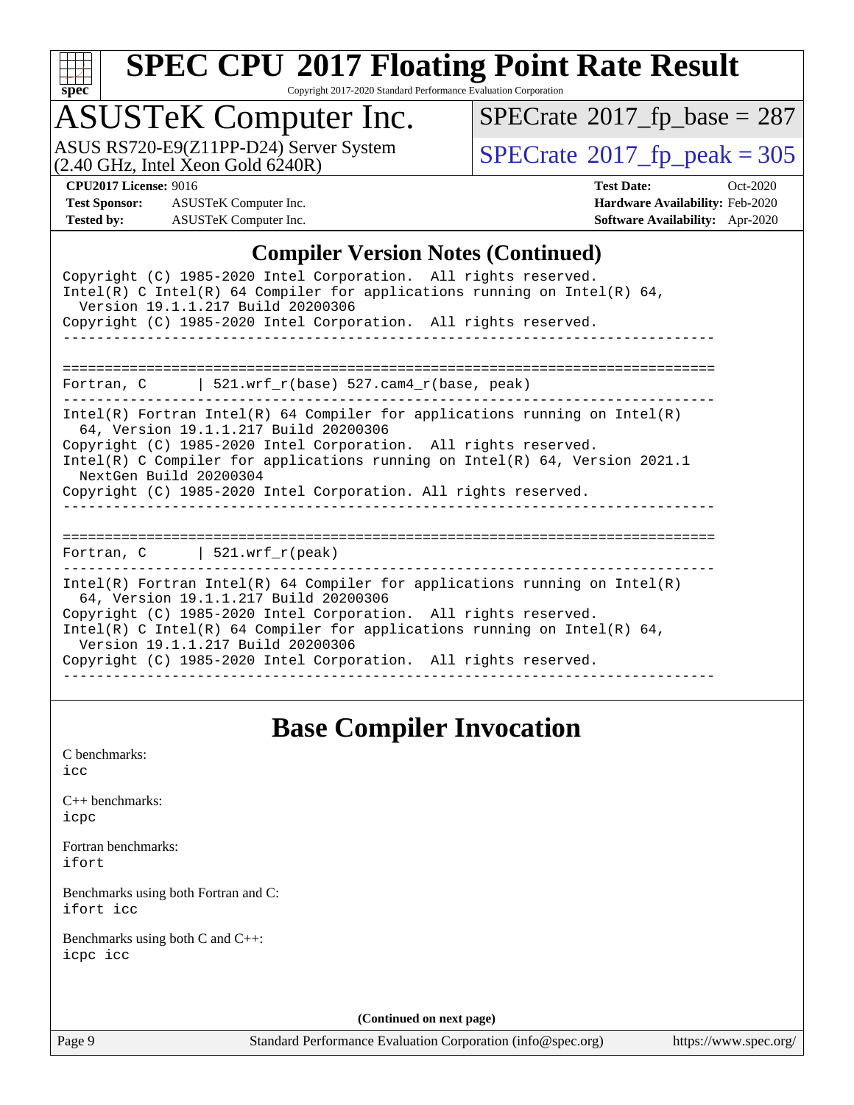

#### **[SPEC CPU](http://www.spec.org/auto/cpu2017/Docs/result-fields.html#SPECCPU2017FloatingPointRateResult)[2017 Floating Point Rate Result](http://www.spec.org/auto/cpu2017/Docs/result-fields.html#SPECCPU2017FloatingPointRateResult)** Copyright 2017-2020 Standard Performance Evaluation Corporation

# ASUSTeK Computer Inc.<br>ASUS RS720-E9(Z11PP-D24) Server System

 $(2.40$  GHz, Intel Xeon Gold  $6240R$ )

 $SPECTate$ <sup>®</sup>[2017\\_fp\\_base =](http://www.spec.org/auto/cpu2017/Docs/result-fields.html#SPECrate2017fpbase) 287

 $SPECTate@2017_fp\_peak = 305$ 

**[Test Sponsor:](http://www.spec.org/auto/cpu2017/Docs/result-fields.html#TestSponsor)** ASUSTeK Computer Inc. **[Hardware Availability:](http://www.spec.org/auto/cpu2017/Docs/result-fields.html#HardwareAvailability)** Feb-2020 **[Tested by:](http://www.spec.org/auto/cpu2017/Docs/result-fields.html#Testedby)** ASUSTeK Computer Inc. **[Software Availability:](http://www.spec.org/auto/cpu2017/Docs/result-fields.html#SoftwareAvailability)** Apr-2020

**[CPU2017 License:](http://www.spec.org/auto/cpu2017/Docs/result-fields.html#CPU2017License)** 9016 **[Test Date:](http://www.spec.org/auto/cpu2017/Docs/result-fields.html#TestDate)** Oct-2020

#### **[Compiler Version Notes \(Continued\)](http://www.spec.org/auto/cpu2017/Docs/result-fields.html#CompilerVersionNotes)**

| Copyright (C) 1985-2020 Intel Corporation. All rights reserved.<br>Intel(R) C Intel(R) 64 Compiler for applications running on Intel(R) 64,<br>Version 19.1.1.217 Build 20200306<br>Copyright (C) 1985-2020 Intel Corporation. All rights reserved.                                                                                                                          |
|------------------------------------------------------------------------------------------------------------------------------------------------------------------------------------------------------------------------------------------------------------------------------------------------------------------------------------------------------------------------------|
| Fortran, $C$   521.wrf $r(base)$ 527.cam4 $r(base$ , peak)                                                                                                                                                                                                                                                                                                                   |
| Intel(R) Fortran Intel(R) 64 Compiler for applications running on Intel(R)<br>64, Version 19.1.1.217 Build 20200306<br>Copyright (C) 1985-2020 Intel Corporation. All rights reserved.<br>Intel(R) C Compiler for applications running on Intel(R) $64$ , Version 2021.1<br>NextGen Build 20200304<br>Copyright (C) 1985-2020 Intel Corporation. All rights reserved.        |
| Fortran, C   521.wrf_r(peak)                                                                                                                                                                                                                                                                                                                                                 |
| $Intel(R)$ Fortran Intel(R) 64 Compiler for applications running on Intel(R)<br>64, Version 19.1.1.217 Build 20200306<br>Copyright (C) 1985-2020 Intel Corporation. All rights reserved.<br>Intel(R) C Intel(R) 64 Compiler for applications running on Intel(R) 64,<br>Version 19.1.1.217 Build 20200306<br>Copyright (C) 1985-2020 Intel Corporation. All rights reserved. |

## **[Base Compiler Invocation](http://www.spec.org/auto/cpu2017/Docs/result-fields.html#BaseCompilerInvocation)**

[C benchmarks](http://www.spec.org/auto/cpu2017/Docs/result-fields.html#Cbenchmarks): [icc](http://www.spec.org/cpu2017/results/res2020q4/cpu2017-20201023-24238.flags.html#user_CCbase_intel_icc_66fc1ee009f7361af1fbd72ca7dcefbb700085f36577c54f309893dd4ec40d12360134090235512931783d35fd58c0460139e722d5067c5574d8eaf2b3e37e92)

[C++ benchmarks:](http://www.spec.org/auto/cpu2017/Docs/result-fields.html#CXXbenchmarks) [icpc](http://www.spec.org/cpu2017/results/res2020q4/cpu2017-20201023-24238.flags.html#user_CXXbase_intel_icpc_c510b6838c7f56d33e37e94d029a35b4a7bccf4766a728ee175e80a419847e808290a9b78be685c44ab727ea267ec2f070ec5dc83b407c0218cded6866a35d07)

[Fortran benchmarks](http://www.spec.org/auto/cpu2017/Docs/result-fields.html#Fortranbenchmarks): [ifort](http://www.spec.org/cpu2017/results/res2020q4/cpu2017-20201023-24238.flags.html#user_FCbase_intel_ifort_8111460550e3ca792625aed983ce982f94888b8b503583aa7ba2b8303487b4d8a21a13e7191a45c5fd58ff318f48f9492884d4413fa793fd88dd292cad7027ca)

[Benchmarks using both Fortran and C](http://www.spec.org/auto/cpu2017/Docs/result-fields.html#BenchmarksusingbothFortranandC): [ifort](http://www.spec.org/cpu2017/results/res2020q4/cpu2017-20201023-24238.flags.html#user_CC_FCbase_intel_ifort_8111460550e3ca792625aed983ce982f94888b8b503583aa7ba2b8303487b4d8a21a13e7191a45c5fd58ff318f48f9492884d4413fa793fd88dd292cad7027ca) [icc](http://www.spec.org/cpu2017/results/res2020q4/cpu2017-20201023-24238.flags.html#user_CC_FCbase_intel_icc_66fc1ee009f7361af1fbd72ca7dcefbb700085f36577c54f309893dd4ec40d12360134090235512931783d35fd58c0460139e722d5067c5574d8eaf2b3e37e92)

[Benchmarks using both C and C++](http://www.spec.org/auto/cpu2017/Docs/result-fields.html#BenchmarksusingbothCandCXX): [icpc](http://www.spec.org/cpu2017/results/res2020q4/cpu2017-20201023-24238.flags.html#user_CC_CXXbase_intel_icpc_c510b6838c7f56d33e37e94d029a35b4a7bccf4766a728ee175e80a419847e808290a9b78be685c44ab727ea267ec2f070ec5dc83b407c0218cded6866a35d07) [icc](http://www.spec.org/cpu2017/results/res2020q4/cpu2017-20201023-24238.flags.html#user_CC_CXXbase_intel_icc_66fc1ee009f7361af1fbd72ca7dcefbb700085f36577c54f309893dd4ec40d12360134090235512931783d35fd58c0460139e722d5067c5574d8eaf2b3e37e92)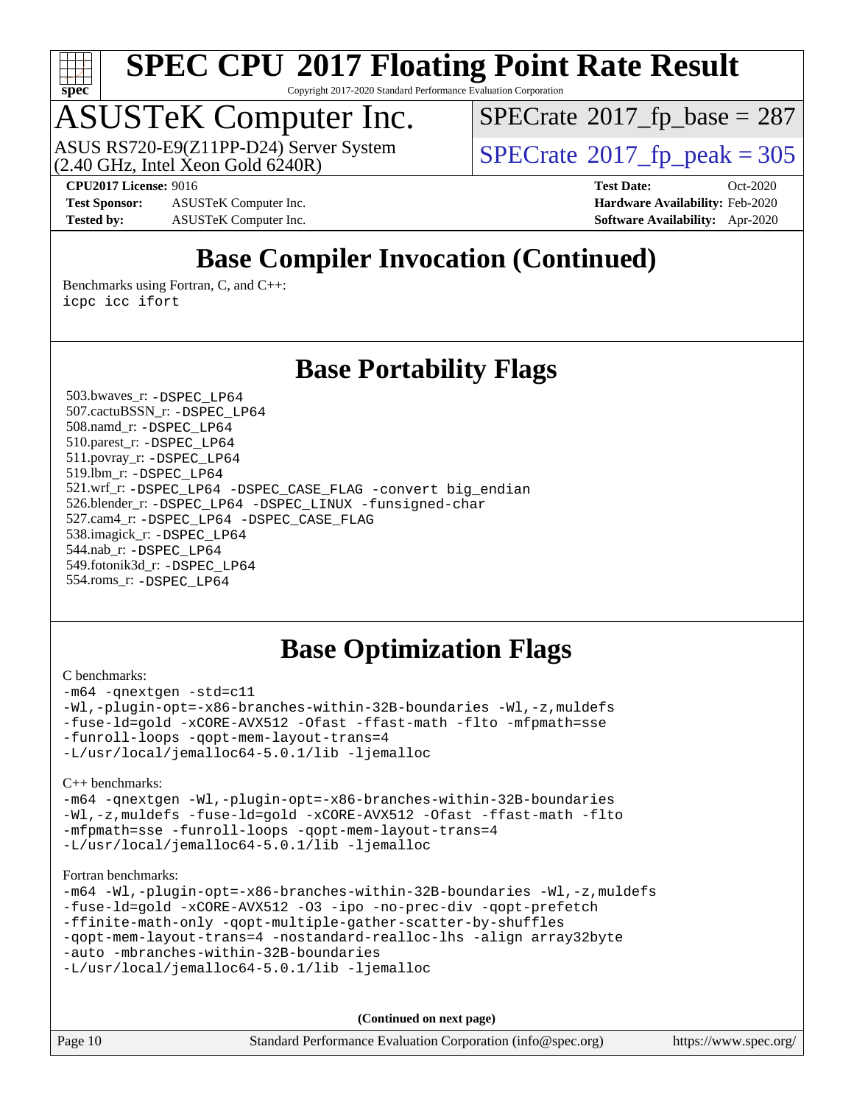

Copyright 2017-2020 Standard Performance Evaluation Corporation

# ASUSTeK Computer Inc.<br>ASUS RS720-E9(Z11PP-D24) Server System

 $(2.40 \text{ GHz}, \text{Intel } \hat{\text{X}}$ con Gold 6240R)

 $SPECTate$ <sup>®</sup>[2017\\_fp\\_base =](http://www.spec.org/auto/cpu2017/Docs/result-fields.html#SPECrate2017fpbase) 287

**[CPU2017 License:](http://www.spec.org/auto/cpu2017/Docs/result-fields.html#CPU2017License)** 9016 **[Test Date:](http://www.spec.org/auto/cpu2017/Docs/result-fields.html#TestDate)** Oct-2020

**[Test Sponsor:](http://www.spec.org/auto/cpu2017/Docs/result-fields.html#TestSponsor)** ASUSTeK Computer Inc. **[Hardware Availability:](http://www.spec.org/auto/cpu2017/Docs/result-fields.html#HardwareAvailability)** Feb-2020 **[Tested by:](http://www.spec.org/auto/cpu2017/Docs/result-fields.html#Testedby)** ASUSTeK Computer Inc. **[Software Availability:](http://www.spec.org/auto/cpu2017/Docs/result-fields.html#SoftwareAvailability)** Apr-2020

 $SPECTate<sup>®</sup>2017<sub>fr</sub>peak =  $305$$ 

# **[Base Compiler Invocation \(Continued\)](http://www.spec.org/auto/cpu2017/Docs/result-fields.html#BaseCompilerInvocation)**

[Benchmarks using Fortran, C, and C++:](http://www.spec.org/auto/cpu2017/Docs/result-fields.html#BenchmarksusingFortranCandCXX) [icpc](http://www.spec.org/cpu2017/results/res2020q4/cpu2017-20201023-24238.flags.html#user_CC_CXX_FCbase_intel_icpc_c510b6838c7f56d33e37e94d029a35b4a7bccf4766a728ee175e80a419847e808290a9b78be685c44ab727ea267ec2f070ec5dc83b407c0218cded6866a35d07) [icc](http://www.spec.org/cpu2017/results/res2020q4/cpu2017-20201023-24238.flags.html#user_CC_CXX_FCbase_intel_icc_66fc1ee009f7361af1fbd72ca7dcefbb700085f36577c54f309893dd4ec40d12360134090235512931783d35fd58c0460139e722d5067c5574d8eaf2b3e37e92) [ifort](http://www.spec.org/cpu2017/results/res2020q4/cpu2017-20201023-24238.flags.html#user_CC_CXX_FCbase_intel_ifort_8111460550e3ca792625aed983ce982f94888b8b503583aa7ba2b8303487b4d8a21a13e7191a45c5fd58ff318f48f9492884d4413fa793fd88dd292cad7027ca)

### **[Base Portability Flags](http://www.spec.org/auto/cpu2017/Docs/result-fields.html#BasePortabilityFlags)**

 503.bwaves\_r: [-DSPEC\\_LP64](http://www.spec.org/cpu2017/results/res2020q4/cpu2017-20201023-24238.flags.html#suite_basePORTABILITY503_bwaves_r_DSPEC_LP64) 507.cactuBSSN\_r: [-DSPEC\\_LP64](http://www.spec.org/cpu2017/results/res2020q4/cpu2017-20201023-24238.flags.html#suite_basePORTABILITY507_cactuBSSN_r_DSPEC_LP64) 508.namd\_r: [-DSPEC\\_LP64](http://www.spec.org/cpu2017/results/res2020q4/cpu2017-20201023-24238.flags.html#suite_basePORTABILITY508_namd_r_DSPEC_LP64) 510.parest\_r: [-DSPEC\\_LP64](http://www.spec.org/cpu2017/results/res2020q4/cpu2017-20201023-24238.flags.html#suite_basePORTABILITY510_parest_r_DSPEC_LP64) 511.povray\_r: [-DSPEC\\_LP64](http://www.spec.org/cpu2017/results/res2020q4/cpu2017-20201023-24238.flags.html#suite_basePORTABILITY511_povray_r_DSPEC_LP64) 519.lbm\_r: [-DSPEC\\_LP64](http://www.spec.org/cpu2017/results/res2020q4/cpu2017-20201023-24238.flags.html#suite_basePORTABILITY519_lbm_r_DSPEC_LP64) 521.wrf\_r: [-DSPEC\\_LP64](http://www.spec.org/cpu2017/results/res2020q4/cpu2017-20201023-24238.flags.html#suite_basePORTABILITY521_wrf_r_DSPEC_LP64) [-DSPEC\\_CASE\\_FLAG](http://www.spec.org/cpu2017/results/res2020q4/cpu2017-20201023-24238.flags.html#b521.wrf_r_baseCPORTABILITY_DSPEC_CASE_FLAG) [-convert big\\_endian](http://www.spec.org/cpu2017/results/res2020q4/cpu2017-20201023-24238.flags.html#user_baseFPORTABILITY521_wrf_r_convert_big_endian_c3194028bc08c63ac5d04de18c48ce6d347e4e562e8892b8bdbdc0214820426deb8554edfa529a3fb25a586e65a3d812c835984020483e7e73212c4d31a38223) 526.blender\_r: [-DSPEC\\_LP64](http://www.spec.org/cpu2017/results/res2020q4/cpu2017-20201023-24238.flags.html#suite_basePORTABILITY526_blender_r_DSPEC_LP64) [-DSPEC\\_LINUX](http://www.spec.org/cpu2017/results/res2020q4/cpu2017-20201023-24238.flags.html#b526.blender_r_baseCPORTABILITY_DSPEC_LINUX) [-funsigned-char](http://www.spec.org/cpu2017/results/res2020q4/cpu2017-20201023-24238.flags.html#user_baseCPORTABILITY526_blender_r_force_uchar_40c60f00ab013830e2dd6774aeded3ff59883ba5a1fc5fc14077f794d777847726e2a5858cbc7672e36e1b067e7e5c1d9a74f7176df07886a243d7cc18edfe67) 527.cam4\_r: [-DSPEC\\_LP64](http://www.spec.org/cpu2017/results/res2020q4/cpu2017-20201023-24238.flags.html#suite_basePORTABILITY527_cam4_r_DSPEC_LP64) [-DSPEC\\_CASE\\_FLAG](http://www.spec.org/cpu2017/results/res2020q4/cpu2017-20201023-24238.flags.html#b527.cam4_r_baseCPORTABILITY_DSPEC_CASE_FLAG) 538.imagick\_r: [-DSPEC\\_LP64](http://www.spec.org/cpu2017/results/res2020q4/cpu2017-20201023-24238.flags.html#suite_basePORTABILITY538_imagick_r_DSPEC_LP64) 544.nab\_r: [-DSPEC\\_LP64](http://www.spec.org/cpu2017/results/res2020q4/cpu2017-20201023-24238.flags.html#suite_basePORTABILITY544_nab_r_DSPEC_LP64) 549.fotonik3d\_r: [-DSPEC\\_LP64](http://www.spec.org/cpu2017/results/res2020q4/cpu2017-20201023-24238.flags.html#suite_basePORTABILITY549_fotonik3d_r_DSPEC_LP64) 554.roms\_r: [-DSPEC\\_LP64](http://www.spec.org/cpu2017/results/res2020q4/cpu2017-20201023-24238.flags.html#suite_basePORTABILITY554_roms_r_DSPEC_LP64)

## **[Base Optimization Flags](http://www.spec.org/auto/cpu2017/Docs/result-fields.html#BaseOptimizationFlags)**

#### [C benchmarks](http://www.spec.org/auto/cpu2017/Docs/result-fields.html#Cbenchmarks):

[-m64](http://www.spec.org/cpu2017/results/res2020q4/cpu2017-20201023-24238.flags.html#user_CCbase_m64-icc) [-qnextgen](http://www.spec.org/cpu2017/results/res2020q4/cpu2017-20201023-24238.flags.html#user_CCbase_f-qnextgen) [-std=c11](http://www.spec.org/cpu2017/results/res2020q4/cpu2017-20201023-24238.flags.html#user_CCbase_std-icc-std_0e1c27790398a4642dfca32ffe6c27b5796f9c2d2676156f2e42c9c44eaad0c049b1cdb667a270c34d979996257aeb8fc440bfb01818dbc9357bd9d174cb8524) [-Wl,-plugin-opt=-x86-branches-within-32B-boundaries](http://www.spec.org/cpu2017/results/res2020q4/cpu2017-20201023-24238.flags.html#user_CCbase_f-x86-branches-within-32B-boundaries_0098b4e4317ae60947b7b728078a624952a08ac37a3c797dfb4ffeb399e0c61a9dd0f2f44ce917e9361fb9076ccb15e7824594512dd315205382d84209e912f3) [-Wl,-z,muldefs](http://www.spec.org/cpu2017/results/res2020q4/cpu2017-20201023-24238.flags.html#user_CCbase_link_force_multiple1_b4cbdb97b34bdee9ceefcfe54f4c8ea74255f0b02a4b23e853cdb0e18eb4525ac79b5a88067c842dd0ee6996c24547a27a4b99331201badda8798ef8a743f577) [-fuse-ld=gold](http://www.spec.org/cpu2017/results/res2020q4/cpu2017-20201023-24238.flags.html#user_CCbase_f-fuse-ld_920b3586e2b8c6e0748b9c84fa9b744736ba725a32cab14ad8f3d4ad28eecb2f59d1144823d2e17006539a88734fe1fc08fc3035f7676166309105a78aaabc32) [-xCORE-AVX512](http://www.spec.org/cpu2017/results/res2020q4/cpu2017-20201023-24238.flags.html#user_CCbase_f-xCORE-AVX512) [-Ofast](http://www.spec.org/cpu2017/results/res2020q4/cpu2017-20201023-24238.flags.html#user_CCbase_f-Ofast) [-ffast-math](http://www.spec.org/cpu2017/results/res2020q4/cpu2017-20201023-24238.flags.html#user_CCbase_f-ffast-math) [-flto](http://www.spec.org/cpu2017/results/res2020q4/cpu2017-20201023-24238.flags.html#user_CCbase_f-flto) [-mfpmath=sse](http://www.spec.org/cpu2017/results/res2020q4/cpu2017-20201023-24238.flags.html#user_CCbase_f-mfpmath_70eb8fac26bde974f8ab713bc9086c5621c0b8d2f6c86f38af0bd7062540daf19db5f3a066d8c6684be05d84c9b6322eb3b5be6619d967835195b93d6c02afa1) [-funroll-loops](http://www.spec.org/cpu2017/results/res2020q4/cpu2017-20201023-24238.flags.html#user_CCbase_f-funroll-loops) [-qopt-mem-layout-trans=4](http://www.spec.org/cpu2017/results/res2020q4/cpu2017-20201023-24238.flags.html#user_CCbase_f-qopt-mem-layout-trans_fa39e755916c150a61361b7846f310bcdf6f04e385ef281cadf3647acec3f0ae266d1a1d22d972a7087a248fd4e6ca390a3634700869573d231a252c784941a8) [-L/usr/local/jemalloc64-5.0.1/lib](http://www.spec.org/cpu2017/results/res2020q4/cpu2017-20201023-24238.flags.html#user_CCbase_jemalloc_link_path64_1_cc289568b1a6c0fd3b62c91b824c27fcb5af5e8098e6ad028160d21144ef1b8aef3170d2acf0bee98a8da324cfe4f67d0a3d0c4cc4673d993d694dc2a0df248b) [-ljemalloc](http://www.spec.org/cpu2017/results/res2020q4/cpu2017-20201023-24238.flags.html#user_CCbase_jemalloc_link_lib_d1249b907c500fa1c0672f44f562e3d0f79738ae9e3c4a9c376d49f265a04b9c99b167ecedbf6711b3085be911c67ff61f150a17b3472be731631ba4d0471706)

[C++ benchmarks:](http://www.spec.org/auto/cpu2017/Docs/result-fields.html#CXXbenchmarks)

```
-m64 -qnextgen -Wl,-plugin-opt=-x86-branches-within-32B-boundaries
-Wl,-z,muldefs -fuse-ld=gold -xCORE-AVX512 -Ofast -ffast-math -flto
-mfpmath=sse -funroll-loops -qopt-mem-layout-trans=4
-L/usr/local/jemalloc64-5.0.1/lib -ljemalloc
```
[Fortran benchmarks](http://www.spec.org/auto/cpu2017/Docs/result-fields.html#Fortranbenchmarks):

```
-m64 -Wl,-plugin-opt=-x86-branches-within-32B-boundaries -Wl,-z,muldefs
-fuse-ld=gold -xCORE-AVX512 -O3 -ipo -no-prec-div -qopt-prefetch
-ffinite-math-only -qopt-multiple-gather-scatter-by-shuffles
-qopt-mem-layout-trans=4 -nostandard-realloc-lhs -align array32byte
-auto -mbranches-within-32B-boundaries
-L/usr/local/jemalloc64-5.0.1/lib -ljemalloc
```

| Page 10 | Standard Performance Evaluation Corporation (info@spec.org) | https://www.spec.org/ |
|---------|-------------------------------------------------------------|-----------------------|
|---------|-------------------------------------------------------------|-----------------------|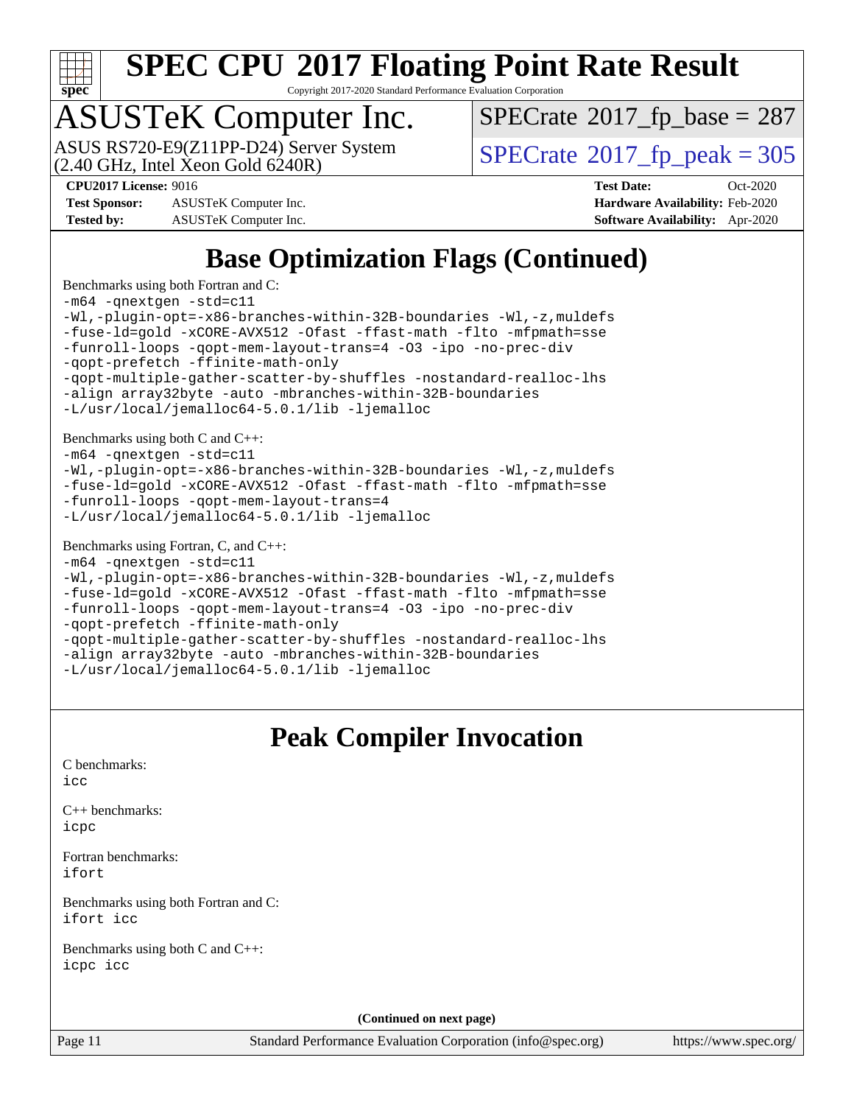

Copyright 2017-2020 Standard Performance Evaluation Corporation

# ASUSTeK Computer Inc.

 $(2.40 \text{ GHz}, \text{Intel Xeon Gold } 6240 \text{R})$ ASUS RS720-E9(Z11PP-D24) Server System  $\sqrt{SPECrate}$  $\sqrt{SPECrate}$  $\sqrt{SPECrate}$   $2017$  fp\_peak = 305

 $SPECTate$ <sup>®</sup>[2017\\_fp\\_base =](http://www.spec.org/auto/cpu2017/Docs/result-fields.html#SPECrate2017fpbase) 287

**[Test Sponsor:](http://www.spec.org/auto/cpu2017/Docs/result-fields.html#TestSponsor)** ASUSTeK Computer Inc. **[Hardware Availability:](http://www.spec.org/auto/cpu2017/Docs/result-fields.html#HardwareAvailability)** Feb-2020 **[Tested by:](http://www.spec.org/auto/cpu2017/Docs/result-fields.html#Testedby)** ASUSTeK Computer Inc. **[Software Availability:](http://www.spec.org/auto/cpu2017/Docs/result-fields.html#SoftwareAvailability)** Apr-2020

**[CPU2017 License:](http://www.spec.org/auto/cpu2017/Docs/result-fields.html#CPU2017License)** 9016 **[Test Date:](http://www.spec.org/auto/cpu2017/Docs/result-fields.html#TestDate)** Oct-2020

# **[Base Optimization Flags \(Continued\)](http://www.spec.org/auto/cpu2017/Docs/result-fields.html#BaseOptimizationFlags)**

[Benchmarks using both Fortran and C](http://www.spec.org/auto/cpu2017/Docs/result-fields.html#BenchmarksusingbothFortranandC): [-m64](http://www.spec.org/cpu2017/results/res2020q4/cpu2017-20201023-24238.flags.html#user_CC_FCbase_m64-icc) [-qnextgen](http://www.spec.org/cpu2017/results/res2020q4/cpu2017-20201023-24238.flags.html#user_CC_FCbase_f-qnextgen) [-std=c11](http://www.spec.org/cpu2017/results/res2020q4/cpu2017-20201023-24238.flags.html#user_CC_FCbase_std-icc-std_0e1c27790398a4642dfca32ffe6c27b5796f9c2d2676156f2e42c9c44eaad0c049b1cdb667a270c34d979996257aeb8fc440bfb01818dbc9357bd9d174cb8524) [-Wl,-plugin-opt=-x86-branches-within-32B-boundaries](http://www.spec.org/cpu2017/results/res2020q4/cpu2017-20201023-24238.flags.html#user_CC_FCbase_f-x86-branches-within-32B-boundaries_0098b4e4317ae60947b7b728078a624952a08ac37a3c797dfb4ffeb399e0c61a9dd0f2f44ce917e9361fb9076ccb15e7824594512dd315205382d84209e912f3) [-Wl,-z,muldefs](http://www.spec.org/cpu2017/results/res2020q4/cpu2017-20201023-24238.flags.html#user_CC_FCbase_link_force_multiple1_b4cbdb97b34bdee9ceefcfe54f4c8ea74255f0b02a4b23e853cdb0e18eb4525ac79b5a88067c842dd0ee6996c24547a27a4b99331201badda8798ef8a743f577) [-fuse-ld=gold](http://www.spec.org/cpu2017/results/res2020q4/cpu2017-20201023-24238.flags.html#user_CC_FCbase_f-fuse-ld_920b3586e2b8c6e0748b9c84fa9b744736ba725a32cab14ad8f3d4ad28eecb2f59d1144823d2e17006539a88734fe1fc08fc3035f7676166309105a78aaabc32) [-xCORE-AVX512](http://www.spec.org/cpu2017/results/res2020q4/cpu2017-20201023-24238.flags.html#user_CC_FCbase_f-xCORE-AVX512) [-Ofast](http://www.spec.org/cpu2017/results/res2020q4/cpu2017-20201023-24238.flags.html#user_CC_FCbase_f-Ofast) [-ffast-math](http://www.spec.org/cpu2017/results/res2020q4/cpu2017-20201023-24238.flags.html#user_CC_FCbase_f-ffast-math) [-flto](http://www.spec.org/cpu2017/results/res2020q4/cpu2017-20201023-24238.flags.html#user_CC_FCbase_f-flto) [-mfpmath=sse](http://www.spec.org/cpu2017/results/res2020q4/cpu2017-20201023-24238.flags.html#user_CC_FCbase_f-mfpmath_70eb8fac26bde974f8ab713bc9086c5621c0b8d2f6c86f38af0bd7062540daf19db5f3a066d8c6684be05d84c9b6322eb3b5be6619d967835195b93d6c02afa1) [-funroll-loops](http://www.spec.org/cpu2017/results/res2020q4/cpu2017-20201023-24238.flags.html#user_CC_FCbase_f-funroll-loops) [-qopt-mem-layout-trans=4](http://www.spec.org/cpu2017/results/res2020q4/cpu2017-20201023-24238.flags.html#user_CC_FCbase_f-qopt-mem-layout-trans_fa39e755916c150a61361b7846f310bcdf6f04e385ef281cadf3647acec3f0ae266d1a1d22d972a7087a248fd4e6ca390a3634700869573d231a252c784941a8) [-O3](http://www.spec.org/cpu2017/results/res2020q4/cpu2017-20201023-24238.flags.html#user_CC_FCbase_f-O3) [-ipo](http://www.spec.org/cpu2017/results/res2020q4/cpu2017-20201023-24238.flags.html#user_CC_FCbase_f-ipo) [-no-prec-div](http://www.spec.org/cpu2017/results/res2020q4/cpu2017-20201023-24238.flags.html#user_CC_FCbase_f-no-prec-div) [-qopt-prefetch](http://www.spec.org/cpu2017/results/res2020q4/cpu2017-20201023-24238.flags.html#user_CC_FCbase_f-qopt-prefetch) [-ffinite-math-only](http://www.spec.org/cpu2017/results/res2020q4/cpu2017-20201023-24238.flags.html#user_CC_FCbase_f_finite_math_only_cb91587bd2077682c4b38af759c288ed7c732db004271a9512da14a4f8007909a5f1427ecbf1a0fb78ff2a814402c6114ac565ca162485bbcae155b5e4258871) [-qopt-multiple-gather-scatter-by-shuffles](http://www.spec.org/cpu2017/results/res2020q4/cpu2017-20201023-24238.flags.html#user_CC_FCbase_f-qopt-multiple-gather-scatter-by-shuffles) [-nostandard-realloc-lhs](http://www.spec.org/cpu2017/results/res2020q4/cpu2017-20201023-24238.flags.html#user_CC_FCbase_f_2003_std_realloc_82b4557e90729c0f113870c07e44d33d6f5a304b4f63d4c15d2d0f1fab99f5daaed73bdb9275d9ae411527f28b936061aa8b9c8f2d63842963b95c9dd6426b8a) [-align array32byte](http://www.spec.org/cpu2017/results/res2020q4/cpu2017-20201023-24238.flags.html#user_CC_FCbase_align_array32byte_b982fe038af199962ba9a80c053b8342c548c85b40b8e86eb3cc33dee0d7986a4af373ac2d51c3f7cf710a18d62fdce2948f201cd044323541f22fc0fffc51b6) [-auto](http://www.spec.org/cpu2017/results/res2020q4/cpu2017-20201023-24238.flags.html#user_CC_FCbase_f-auto) [-mbranches-within-32B-boundaries](http://www.spec.org/cpu2017/results/res2020q4/cpu2017-20201023-24238.flags.html#user_CC_FCbase_f-mbranches-within-32B-boundaries) [-L/usr/local/jemalloc64-5.0.1/lib](http://www.spec.org/cpu2017/results/res2020q4/cpu2017-20201023-24238.flags.html#user_CC_FCbase_jemalloc_link_path64_1_cc289568b1a6c0fd3b62c91b824c27fcb5af5e8098e6ad028160d21144ef1b8aef3170d2acf0bee98a8da324cfe4f67d0a3d0c4cc4673d993d694dc2a0df248b) [-ljemalloc](http://www.spec.org/cpu2017/results/res2020q4/cpu2017-20201023-24238.flags.html#user_CC_FCbase_jemalloc_link_lib_d1249b907c500fa1c0672f44f562e3d0f79738ae9e3c4a9c376d49f265a04b9c99b167ecedbf6711b3085be911c67ff61f150a17b3472be731631ba4d0471706) [Benchmarks using both C and C++](http://www.spec.org/auto/cpu2017/Docs/result-fields.html#BenchmarksusingbothCandCXX): [-m64](http://www.spec.org/cpu2017/results/res2020q4/cpu2017-20201023-24238.flags.html#user_CC_CXXbase_m64-icc) [-qnextgen](http://www.spec.org/cpu2017/results/res2020q4/cpu2017-20201023-24238.flags.html#user_CC_CXXbase_f-qnextgen) [-std=c11](http://www.spec.org/cpu2017/results/res2020q4/cpu2017-20201023-24238.flags.html#user_CC_CXXbase_std-icc-std_0e1c27790398a4642dfca32ffe6c27b5796f9c2d2676156f2e42c9c44eaad0c049b1cdb667a270c34d979996257aeb8fc440bfb01818dbc9357bd9d174cb8524) [-Wl,-plugin-opt=-x86-branches-within-32B-boundaries](http://www.spec.org/cpu2017/results/res2020q4/cpu2017-20201023-24238.flags.html#user_CC_CXXbase_f-x86-branches-within-32B-boundaries_0098b4e4317ae60947b7b728078a624952a08ac37a3c797dfb4ffeb399e0c61a9dd0f2f44ce917e9361fb9076ccb15e7824594512dd315205382d84209e912f3) [-Wl,-z,muldefs](http://www.spec.org/cpu2017/results/res2020q4/cpu2017-20201023-24238.flags.html#user_CC_CXXbase_link_force_multiple1_b4cbdb97b34bdee9ceefcfe54f4c8ea74255f0b02a4b23e853cdb0e18eb4525ac79b5a88067c842dd0ee6996c24547a27a4b99331201badda8798ef8a743f577) [-fuse-ld=gold](http://www.spec.org/cpu2017/results/res2020q4/cpu2017-20201023-24238.flags.html#user_CC_CXXbase_f-fuse-ld_920b3586e2b8c6e0748b9c84fa9b744736ba725a32cab14ad8f3d4ad28eecb2f59d1144823d2e17006539a88734fe1fc08fc3035f7676166309105a78aaabc32) [-xCORE-AVX512](http://www.spec.org/cpu2017/results/res2020q4/cpu2017-20201023-24238.flags.html#user_CC_CXXbase_f-xCORE-AVX512) [-Ofast](http://www.spec.org/cpu2017/results/res2020q4/cpu2017-20201023-24238.flags.html#user_CC_CXXbase_f-Ofast) [-ffast-math](http://www.spec.org/cpu2017/results/res2020q4/cpu2017-20201023-24238.flags.html#user_CC_CXXbase_f-ffast-math) [-flto](http://www.spec.org/cpu2017/results/res2020q4/cpu2017-20201023-24238.flags.html#user_CC_CXXbase_f-flto) [-mfpmath=sse](http://www.spec.org/cpu2017/results/res2020q4/cpu2017-20201023-24238.flags.html#user_CC_CXXbase_f-mfpmath_70eb8fac26bde974f8ab713bc9086c5621c0b8d2f6c86f38af0bd7062540daf19db5f3a066d8c6684be05d84c9b6322eb3b5be6619d967835195b93d6c02afa1) [-funroll-loops](http://www.spec.org/cpu2017/results/res2020q4/cpu2017-20201023-24238.flags.html#user_CC_CXXbase_f-funroll-loops) [-qopt-mem-layout-trans=4](http://www.spec.org/cpu2017/results/res2020q4/cpu2017-20201023-24238.flags.html#user_CC_CXXbase_f-qopt-mem-layout-trans_fa39e755916c150a61361b7846f310bcdf6f04e385ef281cadf3647acec3f0ae266d1a1d22d972a7087a248fd4e6ca390a3634700869573d231a252c784941a8) [-L/usr/local/jemalloc64-5.0.1/lib](http://www.spec.org/cpu2017/results/res2020q4/cpu2017-20201023-24238.flags.html#user_CC_CXXbase_jemalloc_link_path64_1_cc289568b1a6c0fd3b62c91b824c27fcb5af5e8098e6ad028160d21144ef1b8aef3170d2acf0bee98a8da324cfe4f67d0a3d0c4cc4673d993d694dc2a0df248b) [-ljemalloc](http://www.spec.org/cpu2017/results/res2020q4/cpu2017-20201023-24238.flags.html#user_CC_CXXbase_jemalloc_link_lib_d1249b907c500fa1c0672f44f562e3d0f79738ae9e3c4a9c376d49f265a04b9c99b167ecedbf6711b3085be911c67ff61f150a17b3472be731631ba4d0471706) [Benchmarks using Fortran, C, and C++:](http://www.spec.org/auto/cpu2017/Docs/result-fields.html#BenchmarksusingFortranCandCXX) [-m64](http://www.spec.org/cpu2017/results/res2020q4/cpu2017-20201023-24238.flags.html#user_CC_CXX_FCbase_m64-icc) [-qnextgen](http://www.spec.org/cpu2017/results/res2020q4/cpu2017-20201023-24238.flags.html#user_CC_CXX_FCbase_f-qnextgen) [-std=c11](http://www.spec.org/cpu2017/results/res2020q4/cpu2017-20201023-24238.flags.html#user_CC_CXX_FCbase_std-icc-std_0e1c27790398a4642dfca32ffe6c27b5796f9c2d2676156f2e42c9c44eaad0c049b1cdb667a270c34d979996257aeb8fc440bfb01818dbc9357bd9d174cb8524) [-Wl,-plugin-opt=-x86-branches-within-32B-boundaries](http://www.spec.org/cpu2017/results/res2020q4/cpu2017-20201023-24238.flags.html#user_CC_CXX_FCbase_f-x86-branches-within-32B-boundaries_0098b4e4317ae60947b7b728078a624952a08ac37a3c797dfb4ffeb399e0c61a9dd0f2f44ce917e9361fb9076ccb15e7824594512dd315205382d84209e912f3) [-Wl,-z,muldefs](http://www.spec.org/cpu2017/results/res2020q4/cpu2017-20201023-24238.flags.html#user_CC_CXX_FCbase_link_force_multiple1_b4cbdb97b34bdee9ceefcfe54f4c8ea74255f0b02a4b23e853cdb0e18eb4525ac79b5a88067c842dd0ee6996c24547a27a4b99331201badda8798ef8a743f577) [-fuse-ld=gold](http://www.spec.org/cpu2017/results/res2020q4/cpu2017-20201023-24238.flags.html#user_CC_CXX_FCbase_f-fuse-ld_920b3586e2b8c6e0748b9c84fa9b744736ba725a32cab14ad8f3d4ad28eecb2f59d1144823d2e17006539a88734fe1fc08fc3035f7676166309105a78aaabc32) [-xCORE-AVX512](http://www.spec.org/cpu2017/results/res2020q4/cpu2017-20201023-24238.flags.html#user_CC_CXX_FCbase_f-xCORE-AVX512) [-Ofast](http://www.spec.org/cpu2017/results/res2020q4/cpu2017-20201023-24238.flags.html#user_CC_CXX_FCbase_f-Ofast) [-ffast-math](http://www.spec.org/cpu2017/results/res2020q4/cpu2017-20201023-24238.flags.html#user_CC_CXX_FCbase_f-ffast-math) [-flto](http://www.spec.org/cpu2017/results/res2020q4/cpu2017-20201023-24238.flags.html#user_CC_CXX_FCbase_f-flto) [-mfpmath=sse](http://www.spec.org/cpu2017/results/res2020q4/cpu2017-20201023-24238.flags.html#user_CC_CXX_FCbase_f-mfpmath_70eb8fac26bde974f8ab713bc9086c5621c0b8d2f6c86f38af0bd7062540daf19db5f3a066d8c6684be05d84c9b6322eb3b5be6619d967835195b93d6c02afa1) [-funroll-loops](http://www.spec.org/cpu2017/results/res2020q4/cpu2017-20201023-24238.flags.html#user_CC_CXX_FCbase_f-funroll-loops) [-qopt-mem-layout-trans=4](http://www.spec.org/cpu2017/results/res2020q4/cpu2017-20201023-24238.flags.html#user_CC_CXX_FCbase_f-qopt-mem-layout-trans_fa39e755916c150a61361b7846f310bcdf6f04e385ef281cadf3647acec3f0ae266d1a1d22d972a7087a248fd4e6ca390a3634700869573d231a252c784941a8) [-O3](http://www.spec.org/cpu2017/results/res2020q4/cpu2017-20201023-24238.flags.html#user_CC_CXX_FCbase_f-O3) [-ipo](http://www.spec.org/cpu2017/results/res2020q4/cpu2017-20201023-24238.flags.html#user_CC_CXX_FCbase_f-ipo) [-no-prec-div](http://www.spec.org/cpu2017/results/res2020q4/cpu2017-20201023-24238.flags.html#user_CC_CXX_FCbase_f-no-prec-div)

[-qopt-prefetch](http://www.spec.org/cpu2017/results/res2020q4/cpu2017-20201023-24238.flags.html#user_CC_CXX_FCbase_f-qopt-prefetch) [-ffinite-math-only](http://www.spec.org/cpu2017/results/res2020q4/cpu2017-20201023-24238.flags.html#user_CC_CXX_FCbase_f_finite_math_only_cb91587bd2077682c4b38af759c288ed7c732db004271a9512da14a4f8007909a5f1427ecbf1a0fb78ff2a814402c6114ac565ca162485bbcae155b5e4258871) [-qopt-multiple-gather-scatter-by-shuffles](http://www.spec.org/cpu2017/results/res2020q4/cpu2017-20201023-24238.flags.html#user_CC_CXX_FCbase_f-qopt-multiple-gather-scatter-by-shuffles) [-nostandard-realloc-lhs](http://www.spec.org/cpu2017/results/res2020q4/cpu2017-20201023-24238.flags.html#user_CC_CXX_FCbase_f_2003_std_realloc_82b4557e90729c0f113870c07e44d33d6f5a304b4f63d4c15d2d0f1fab99f5daaed73bdb9275d9ae411527f28b936061aa8b9c8f2d63842963b95c9dd6426b8a) [-align array32byte](http://www.spec.org/cpu2017/results/res2020q4/cpu2017-20201023-24238.flags.html#user_CC_CXX_FCbase_align_array32byte_b982fe038af199962ba9a80c053b8342c548c85b40b8e86eb3cc33dee0d7986a4af373ac2d51c3f7cf710a18d62fdce2948f201cd044323541f22fc0fffc51b6) [-auto](http://www.spec.org/cpu2017/results/res2020q4/cpu2017-20201023-24238.flags.html#user_CC_CXX_FCbase_f-auto) [-mbranches-within-32B-boundaries](http://www.spec.org/cpu2017/results/res2020q4/cpu2017-20201023-24238.flags.html#user_CC_CXX_FCbase_f-mbranches-within-32B-boundaries) [-L/usr/local/jemalloc64-5.0.1/lib](http://www.spec.org/cpu2017/results/res2020q4/cpu2017-20201023-24238.flags.html#user_CC_CXX_FCbase_jemalloc_link_path64_1_cc289568b1a6c0fd3b62c91b824c27fcb5af5e8098e6ad028160d21144ef1b8aef3170d2acf0bee98a8da324cfe4f67d0a3d0c4cc4673d993d694dc2a0df248b) [-ljemalloc](http://www.spec.org/cpu2017/results/res2020q4/cpu2017-20201023-24238.flags.html#user_CC_CXX_FCbase_jemalloc_link_lib_d1249b907c500fa1c0672f44f562e3d0f79738ae9e3c4a9c376d49f265a04b9c99b167ecedbf6711b3085be911c67ff61f150a17b3472be731631ba4d0471706)

## **[Peak Compiler Invocation](http://www.spec.org/auto/cpu2017/Docs/result-fields.html#PeakCompilerInvocation)**

| <b>Peak Compiler Invocation</b>                   |
|---------------------------------------------------|
| C benchmarks:<br>icc                              |
| $C_{++}$ benchmarks:<br>icpc                      |
| Fortran benchmarks:<br>ifort                      |
| Benchmarks using both Fortran and C:<br>ifort icc |
| Benchmarks using both C and C++:<br>icpc icc      |
| (Continued on next page)                          |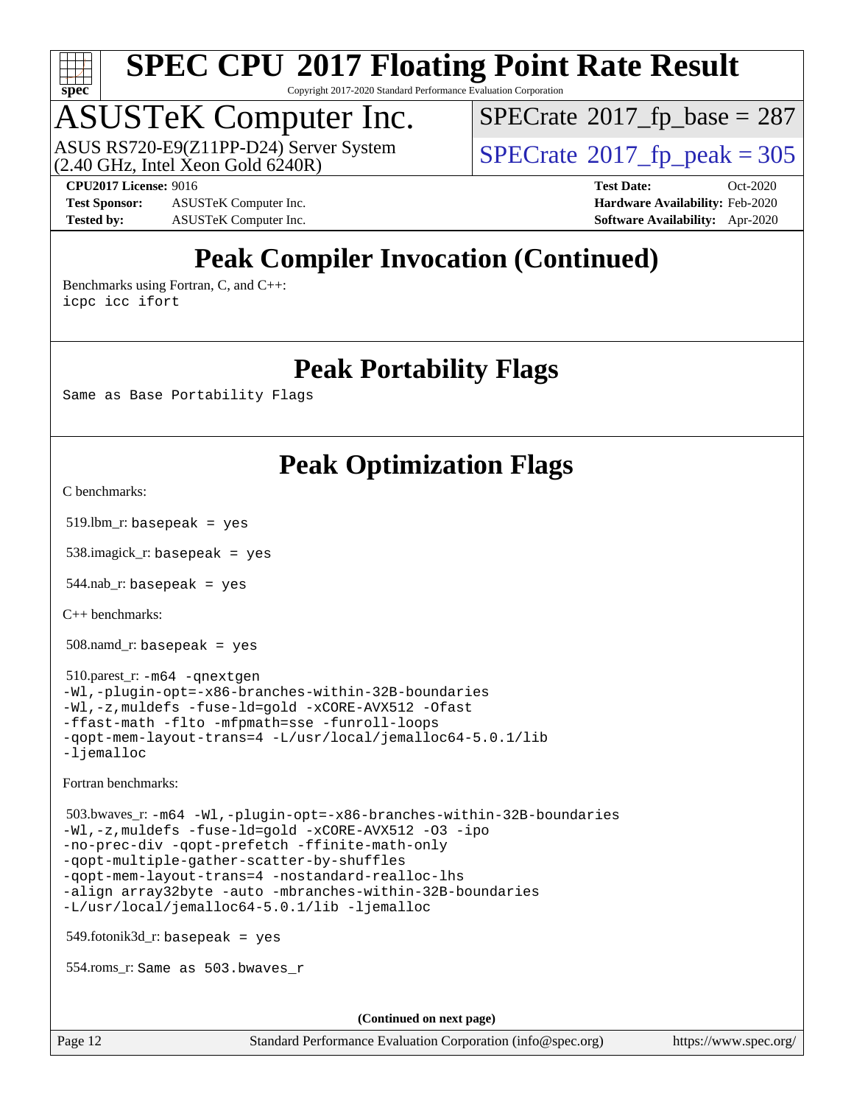

Copyright 2017-2020 Standard Performance Evaluation Corporation

# ASUSTeK Computer Inc.

ASUS RS720-E9(Z11PP-D24) Server System<br>(2.40 GHz, Intel Xeon Gold 6240R)

 $SPECTate$ <sup>®</sup>[2017\\_fp\\_base =](http://www.spec.org/auto/cpu2017/Docs/result-fields.html#SPECrate2017fpbase) 287

**[Test Sponsor:](http://www.spec.org/auto/cpu2017/Docs/result-fields.html#TestSponsor)** ASUSTeK Computer Inc. **[Hardware Availability:](http://www.spec.org/auto/cpu2017/Docs/result-fields.html#HardwareAvailability)** Feb-2020 **[Tested by:](http://www.spec.org/auto/cpu2017/Docs/result-fields.html#Testedby)** ASUSTeK Computer Inc. **[Software Availability:](http://www.spec.org/auto/cpu2017/Docs/result-fields.html#SoftwareAvailability)** Apr-2020

 $SPECTate<sup>®</sup>2017_fp_peak = 305$  $SPECTate<sup>®</sup>2017_fp_peak = 305$  $SPECTate<sup>®</sup>2017_fp_peak = 305$ **[CPU2017 License:](http://www.spec.org/auto/cpu2017/Docs/result-fields.html#CPU2017License)** 9016 **[Test Date:](http://www.spec.org/auto/cpu2017/Docs/result-fields.html#TestDate)** Oct-2020

# **[Peak Compiler Invocation \(Continued\)](http://www.spec.org/auto/cpu2017/Docs/result-fields.html#PeakCompilerInvocation)**

[Benchmarks using Fortran, C, and C++:](http://www.spec.org/auto/cpu2017/Docs/result-fields.html#BenchmarksusingFortranCandCXX) [icpc](http://www.spec.org/cpu2017/results/res2020q4/cpu2017-20201023-24238.flags.html#user_CC_CXX_FCpeak_intel_icpc_c510b6838c7f56d33e37e94d029a35b4a7bccf4766a728ee175e80a419847e808290a9b78be685c44ab727ea267ec2f070ec5dc83b407c0218cded6866a35d07) [icc](http://www.spec.org/cpu2017/results/res2020q4/cpu2017-20201023-24238.flags.html#user_CC_CXX_FCpeak_intel_icc_66fc1ee009f7361af1fbd72ca7dcefbb700085f36577c54f309893dd4ec40d12360134090235512931783d35fd58c0460139e722d5067c5574d8eaf2b3e37e92) [ifort](http://www.spec.org/cpu2017/results/res2020q4/cpu2017-20201023-24238.flags.html#user_CC_CXX_FCpeak_intel_ifort_8111460550e3ca792625aed983ce982f94888b8b503583aa7ba2b8303487b4d8a21a13e7191a45c5fd58ff318f48f9492884d4413fa793fd88dd292cad7027ca)

### **[Peak Portability Flags](http://www.spec.org/auto/cpu2017/Docs/result-fields.html#PeakPortabilityFlags)**

Same as Base Portability Flags

## **[Peak Optimization Flags](http://www.spec.org/auto/cpu2017/Docs/result-fields.html#PeakOptimizationFlags)**

[C benchmarks](http://www.spec.org/auto/cpu2017/Docs/result-fields.html#Cbenchmarks):

519.lbm\_r: basepeak = yes

538.imagick\_r: basepeak = yes

 $544$ .nab\_r: basepeak = yes

[C++ benchmarks:](http://www.spec.org/auto/cpu2017/Docs/result-fields.html#CXXbenchmarks)

508.namd\_r: basepeak = yes

 510.parest\_r: [-m64](http://www.spec.org/cpu2017/results/res2020q4/cpu2017-20201023-24238.flags.html#user_peakCXXLD510_parest_r_m64-icc) [-qnextgen](http://www.spec.org/cpu2017/results/res2020q4/cpu2017-20201023-24238.flags.html#user_peakCXXLD510_parest_r_f-qnextgen) [-Wl,-plugin-opt=-x86-branches-within-32B-boundaries](http://www.spec.org/cpu2017/results/res2020q4/cpu2017-20201023-24238.flags.html#user_peakLDFLAGS510_parest_r_f-x86-branches-within-32B-boundaries_0098b4e4317ae60947b7b728078a624952a08ac37a3c797dfb4ffeb399e0c61a9dd0f2f44ce917e9361fb9076ccb15e7824594512dd315205382d84209e912f3) [-Wl,-z,muldefs](http://www.spec.org/cpu2017/results/res2020q4/cpu2017-20201023-24238.flags.html#user_peakEXTRA_LDFLAGS510_parest_r_link_force_multiple1_b4cbdb97b34bdee9ceefcfe54f4c8ea74255f0b02a4b23e853cdb0e18eb4525ac79b5a88067c842dd0ee6996c24547a27a4b99331201badda8798ef8a743f577) [-fuse-ld=gold](http://www.spec.org/cpu2017/results/res2020q4/cpu2017-20201023-24238.flags.html#user_peakEXTRA_LDFLAGS510_parest_r_f-fuse-ld_920b3586e2b8c6e0748b9c84fa9b744736ba725a32cab14ad8f3d4ad28eecb2f59d1144823d2e17006539a88734fe1fc08fc3035f7676166309105a78aaabc32) [-xCORE-AVX512](http://www.spec.org/cpu2017/results/res2020q4/cpu2017-20201023-24238.flags.html#user_peakCXXOPTIMIZE510_parest_r_f-xCORE-AVX512) [-Ofast](http://www.spec.org/cpu2017/results/res2020q4/cpu2017-20201023-24238.flags.html#user_peakCXXOPTIMIZE510_parest_r_f-Ofast) [-ffast-math](http://www.spec.org/cpu2017/results/res2020q4/cpu2017-20201023-24238.flags.html#user_peakCXXOPTIMIZE510_parest_r_f-ffast-math) [-flto](http://www.spec.org/cpu2017/results/res2020q4/cpu2017-20201023-24238.flags.html#user_peakCXXOPTIMIZE510_parest_r_f-flto) [-mfpmath=sse](http://www.spec.org/cpu2017/results/res2020q4/cpu2017-20201023-24238.flags.html#user_peakCXXOPTIMIZE510_parest_r_f-mfpmath_70eb8fac26bde974f8ab713bc9086c5621c0b8d2f6c86f38af0bd7062540daf19db5f3a066d8c6684be05d84c9b6322eb3b5be6619d967835195b93d6c02afa1) [-funroll-loops](http://www.spec.org/cpu2017/results/res2020q4/cpu2017-20201023-24238.flags.html#user_peakCXXOPTIMIZE510_parest_r_f-funroll-loops) [-qopt-mem-layout-trans=4](http://www.spec.org/cpu2017/results/res2020q4/cpu2017-20201023-24238.flags.html#user_peakCXXOPTIMIZE510_parest_r_f-qopt-mem-layout-trans_fa39e755916c150a61361b7846f310bcdf6f04e385ef281cadf3647acec3f0ae266d1a1d22d972a7087a248fd4e6ca390a3634700869573d231a252c784941a8) [-L/usr/local/jemalloc64-5.0.1/lib](http://www.spec.org/cpu2017/results/res2020q4/cpu2017-20201023-24238.flags.html#user_peakEXTRA_LIBS510_parest_r_jemalloc_link_path64_1_cc289568b1a6c0fd3b62c91b824c27fcb5af5e8098e6ad028160d21144ef1b8aef3170d2acf0bee98a8da324cfe4f67d0a3d0c4cc4673d993d694dc2a0df248b) [-ljemalloc](http://www.spec.org/cpu2017/results/res2020q4/cpu2017-20201023-24238.flags.html#user_peakEXTRA_LIBS510_parest_r_jemalloc_link_lib_d1249b907c500fa1c0672f44f562e3d0f79738ae9e3c4a9c376d49f265a04b9c99b167ecedbf6711b3085be911c67ff61f150a17b3472be731631ba4d0471706)

[Fortran benchmarks](http://www.spec.org/auto/cpu2017/Docs/result-fields.html#Fortranbenchmarks):

 503.bwaves\_r: [-m64](http://www.spec.org/cpu2017/results/res2020q4/cpu2017-20201023-24238.flags.html#user_peakFCLD503_bwaves_r_m64-icc) [-Wl,-plugin-opt=-x86-branches-within-32B-boundaries](http://www.spec.org/cpu2017/results/res2020q4/cpu2017-20201023-24238.flags.html#user_peakLDFLAGS503_bwaves_r_f-x86-branches-within-32B-boundaries_0098b4e4317ae60947b7b728078a624952a08ac37a3c797dfb4ffeb399e0c61a9dd0f2f44ce917e9361fb9076ccb15e7824594512dd315205382d84209e912f3) [-Wl,-z,muldefs](http://www.spec.org/cpu2017/results/res2020q4/cpu2017-20201023-24238.flags.html#user_peakEXTRA_LDFLAGS503_bwaves_r_link_force_multiple1_b4cbdb97b34bdee9ceefcfe54f4c8ea74255f0b02a4b23e853cdb0e18eb4525ac79b5a88067c842dd0ee6996c24547a27a4b99331201badda8798ef8a743f577) [-fuse-ld=gold](http://www.spec.org/cpu2017/results/res2020q4/cpu2017-20201023-24238.flags.html#user_peakEXTRA_LDFLAGS503_bwaves_r_f-fuse-ld_920b3586e2b8c6e0748b9c84fa9b744736ba725a32cab14ad8f3d4ad28eecb2f59d1144823d2e17006539a88734fe1fc08fc3035f7676166309105a78aaabc32) [-xCORE-AVX512](http://www.spec.org/cpu2017/results/res2020q4/cpu2017-20201023-24238.flags.html#user_peakFOPTIMIZE503_bwaves_r_f-xCORE-AVX512) [-O3](http://www.spec.org/cpu2017/results/res2020q4/cpu2017-20201023-24238.flags.html#user_peakFOPTIMIZE503_bwaves_r_f-O3) [-ipo](http://www.spec.org/cpu2017/results/res2020q4/cpu2017-20201023-24238.flags.html#user_peakFOPTIMIZE503_bwaves_r_f-ipo) [-no-prec-div](http://www.spec.org/cpu2017/results/res2020q4/cpu2017-20201023-24238.flags.html#user_peakFOPTIMIZE503_bwaves_r_f-no-prec-div) [-qopt-prefetch](http://www.spec.org/cpu2017/results/res2020q4/cpu2017-20201023-24238.flags.html#user_peakFOPTIMIZE503_bwaves_r_f-qopt-prefetch) [-ffinite-math-only](http://www.spec.org/cpu2017/results/res2020q4/cpu2017-20201023-24238.flags.html#user_peakFOPTIMIZE503_bwaves_r_f_finite_math_only_cb91587bd2077682c4b38af759c288ed7c732db004271a9512da14a4f8007909a5f1427ecbf1a0fb78ff2a814402c6114ac565ca162485bbcae155b5e4258871) [-qopt-multiple-gather-scatter-by-shuffles](http://www.spec.org/cpu2017/results/res2020q4/cpu2017-20201023-24238.flags.html#user_peakFOPTIMIZE503_bwaves_r_f-qopt-multiple-gather-scatter-by-shuffles) [-qopt-mem-layout-trans=4](http://www.spec.org/cpu2017/results/res2020q4/cpu2017-20201023-24238.flags.html#user_peakFOPTIMIZE503_bwaves_r_f-qopt-mem-layout-trans_fa39e755916c150a61361b7846f310bcdf6f04e385ef281cadf3647acec3f0ae266d1a1d22d972a7087a248fd4e6ca390a3634700869573d231a252c784941a8) [-nostandard-realloc-lhs](http://www.spec.org/cpu2017/results/res2020q4/cpu2017-20201023-24238.flags.html#user_peakEXTRA_FOPTIMIZE503_bwaves_r_f_2003_std_realloc_82b4557e90729c0f113870c07e44d33d6f5a304b4f63d4c15d2d0f1fab99f5daaed73bdb9275d9ae411527f28b936061aa8b9c8f2d63842963b95c9dd6426b8a) [-align array32byte](http://www.spec.org/cpu2017/results/res2020q4/cpu2017-20201023-24238.flags.html#user_peakEXTRA_FOPTIMIZE503_bwaves_r_align_array32byte_b982fe038af199962ba9a80c053b8342c548c85b40b8e86eb3cc33dee0d7986a4af373ac2d51c3f7cf710a18d62fdce2948f201cd044323541f22fc0fffc51b6) [-auto](http://www.spec.org/cpu2017/results/res2020q4/cpu2017-20201023-24238.flags.html#user_peakEXTRA_FOPTIMIZE503_bwaves_r_f-auto) [-mbranches-within-32B-boundaries](http://www.spec.org/cpu2017/results/res2020q4/cpu2017-20201023-24238.flags.html#user_peakEXTRA_FOPTIMIZE503_bwaves_r_f-mbranches-within-32B-boundaries) [-L/usr/local/jemalloc64-5.0.1/lib](http://www.spec.org/cpu2017/results/res2020q4/cpu2017-20201023-24238.flags.html#user_peakEXTRA_LIBS503_bwaves_r_jemalloc_link_path64_1_cc289568b1a6c0fd3b62c91b824c27fcb5af5e8098e6ad028160d21144ef1b8aef3170d2acf0bee98a8da324cfe4f67d0a3d0c4cc4673d993d694dc2a0df248b) [-ljemalloc](http://www.spec.org/cpu2017/results/res2020q4/cpu2017-20201023-24238.flags.html#user_peakEXTRA_LIBS503_bwaves_r_jemalloc_link_lib_d1249b907c500fa1c0672f44f562e3d0f79738ae9e3c4a9c376d49f265a04b9c99b167ecedbf6711b3085be911c67ff61f150a17b3472be731631ba4d0471706)

549.fotonik3d\_r: basepeak = yes

554.roms\_r: Same as 503.bwaves\_r